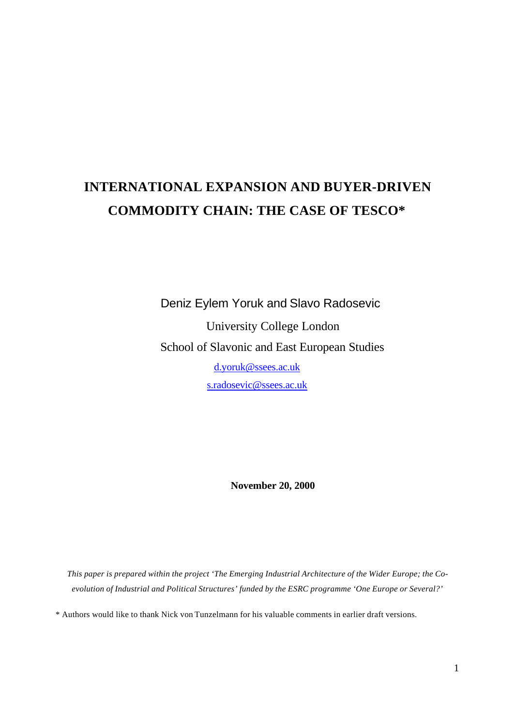# **INTERNATIONAL EXPANSION AND BUYER-DRIVEN COMMODITY CHAIN: THE CASE OF TESCO\***

 Deniz Eylem Yoruk and Slavo Radosevic University College London School of Slavonic and East European Studies d.yoruk@ssees.ac.uk s.radosevic@ssees.ac.uk

**November 20, 2000**

*This paper is prepared within the project 'The Emerging Industrial Architecture of the Wider Europe; the Coevolution of Industrial and Political Structures' funded by the ESRC programme 'One Europe or Several?'*

\* Authors would like to thank Nick von Tunzelmann for his valuable comments in earlier draft versions.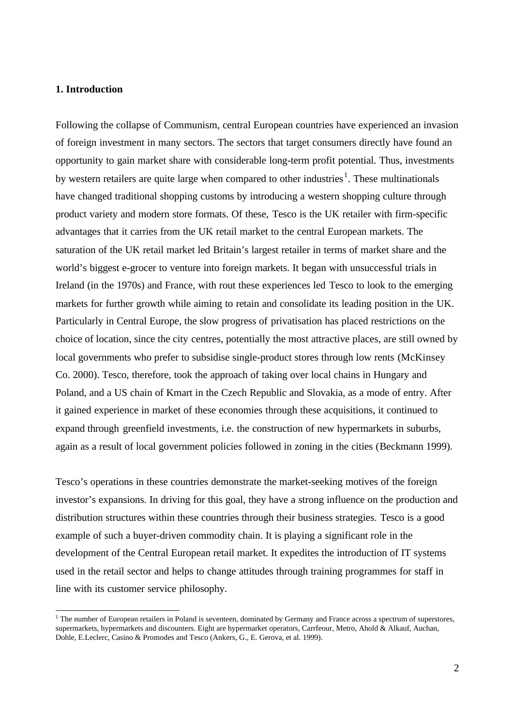# **1. Introduction**

l

Following the collapse of Communism, central European countries have experienced an invasion of foreign investment in many sectors. The sectors that target consumers directly have found an opportunity to gain market share with considerable long-term profit potential. Thus, investments by western retailers are quite large when compared to other industries<sup>1</sup>. These multinationals have changed traditional shopping customs by introducing a western shopping culture through product variety and modern store formats. Of these, Tesco is the UK retailer with firm-specific advantages that it carries from the UK retail market to the central European markets. The saturation of the UK retail market led Britain's largest retailer in terms of market share and the world's biggest e-grocer to venture into foreign markets. It began with unsuccessful trials in Ireland (in the 1970s) and France, with rout these experiences led Tesco to look to the emerging markets for further growth while aiming to retain and consolidate its leading position in the UK. Particularly in Central Europe, the slow progress of privatisation has placed restrictions on the choice of location, since the city centres, potentially the most attractive places, are still owned by local governments who prefer to subsidise single-product stores through low rents (McKinsey Co. 2000). Tesco, therefore, took the approach of taking over local chains in Hungary and Poland, and a US chain of Kmart in the Czech Republic and Slovakia, as a mode of entry. After it gained experience in market of these economies through these acquisitions, it continued to expand through greenfield investments, i.e. the construction of new hypermarkets in suburbs, again as a result of local government policies followed in zoning in the cities (Beckmann 1999).

Tesco's operations in these countries demonstrate the market-seeking motives of the foreign investor's expansions. In driving for this goal, they have a strong influence on the production and distribution structures within these countries through their business strategies. Tesco is a good example of such a buyer-driven commodity chain. It is playing a significant role in the development of the Central European retail market. It expedites the introduction of IT systems used in the retail sector and helps to change attitudes through training programmes for staff in line with its customer service philosophy.

<sup>&</sup>lt;sup>1</sup> The number of European retailers in Poland is seventeen, dominated by Germany and France across a spectrum of superstores, supermarkets, hypermarkets and discounters. Eight are hypermarket operators, Carrfeour, Metro, Ahold & Alkauf, Auchan, Dohle, E.Leclerc, Casino & Promodes and Tesco (Ankers, G., E. Gerova, et al. 1999).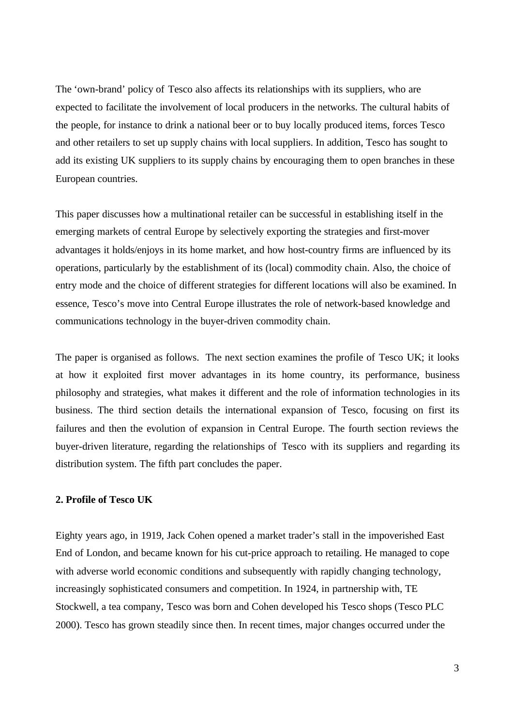The 'own-brand' policy of Tesco also affects its relationships with its suppliers, who are expected to facilitate the involvement of local producers in the networks. The cultural habits of the people, for instance to drink a national beer or to buy locally produced items, forces Tesco and other retailers to set up supply chains with local suppliers. In addition, Tesco has sought to add its existing UK suppliers to its supply chains by encouraging them to open branches in these European countries.

This paper discusses how a multinational retailer can be successful in establishing itself in the emerging markets of central Europe by selectively exporting the strategies and first-mover advantages it holds/enjoys in its home market, and how host-country firms are influenced by its operations, particularly by the establishment of its (local) commodity chain. Also, the choice of entry mode and the choice of different strategies for different locations will also be examined. In essence, Tesco's move into Central Europe illustrates the role of network-based knowledge and communications technology in the buyer-driven commodity chain.

The paper is organised as follows. The next section examines the profile of Tesco UK; it looks at how it exploited first mover advantages in its home country, its performance, business philosophy and strategies, what makes it different and the role of information technologies in its business. The third section details the international expansion of Tesco, focusing on first its failures and then the evolution of expansion in Central Europe. The fourth section reviews the buyer-driven literature, regarding the relationships of Tesco with its suppliers and regarding its distribution system. The fifth part concludes the paper.

# **2. Profile of Tesco UK**

Eighty years ago, in 1919, Jack Cohen opened a market trader's stall in the impoverished East End of London, and became known for his cut-price approach to retailing. He managed to cope with adverse world economic conditions and subsequently with rapidly changing technology, increasingly sophisticated consumers and competition. In 1924, in partnership with, TE Stockwell, a tea company, Tesco was born and Cohen developed his Tesco shops (Tesco PLC 2000). Tesco has grown steadily since then. In recent times, major changes occurred under the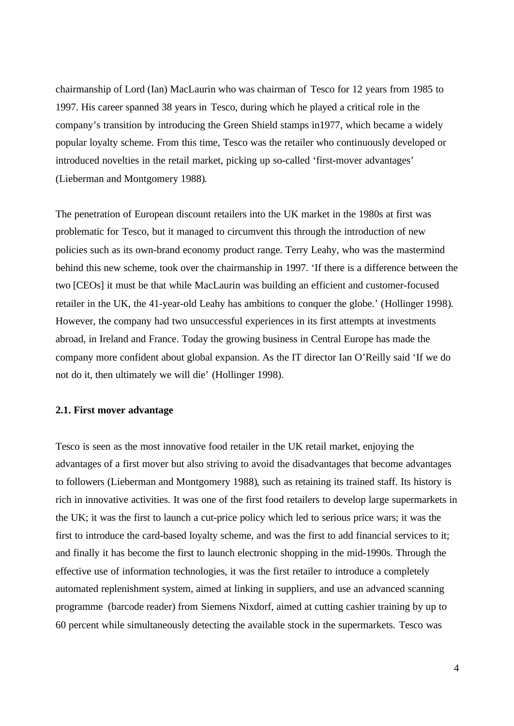chairmanship of Lord (Ian) MacLaurin who was chairman of Tesco for 12 years from 1985 to 1997. His career spanned 38 years in Tesco, during which he played a critical role in the company's transition by introducing the Green Shield stamps in1977, which became a widely popular loyalty scheme. From this time, Tesco was the retailer who continuously developed or introduced novelties in the retail market, picking up so-called 'first-mover advantages' (Lieberman and Montgomery 1988).

The penetration of European discount retailers into the UK market in the 1980s at first was problematic for Tesco, but it managed to circumvent this through the introduction of new policies such as its own-brand economy product range. Terry Leahy, who was the mastermind behind this new scheme, took over the chairmanship in 1997. 'If there is a difference between the two [CEOs] it must be that while MacLaurin was building an efficient and customer-focused retailer in the UK, the 41-year-old Leahy has ambitions to conquer the globe.' (Hollinger 1998). However, the company had two unsuccessful experiences in its first attempts at investments abroad, in Ireland and France. Today the growing business in Central Europe has made the company more confident about global expansion. As the IT director Ian O'Reilly said 'If we do not do it, then ultimately we will die' (Hollinger 1998).

# **2.1. First mover advantage**

Tesco is seen as the most innovative food retailer in the UK retail market, enjoying the advantages of a first mover but also striving to avoid the disadvantages that become advantages to followers (Lieberman and Montgomery 1988), such as retaining its trained staff. Its history is rich in innovative activities. It was one of the first food retailers to develop large supermarkets in the UK; it was the first to launch a cut-price policy which led to serious price wars; it was the first to introduce the card-based loyalty scheme, and was the first to add financial services to it; and finally it has become the first to launch electronic shopping in the mid-1990s. Through the effective use of information technologies, it was the first retailer to introduce a completely automated replenishment system, aimed at linking in suppliers, and use an advanced scanning programme (barcode reader) from Siemens Nixdorf, aimed at cutting cashier training by up to 60 percent while simultaneously detecting the available stock in the supermarkets. Tesco was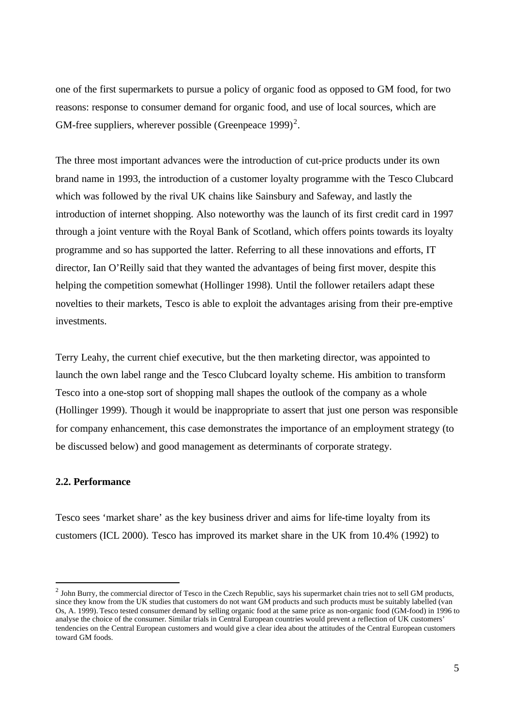one of the first supermarkets to pursue a policy of organic food as opposed to GM food, for two reasons: response to consumer demand for organic food, and use of local sources, which are GM-free suppliers, wherever possible (Greenpeace 1999)<sup>2</sup>.

The three most important advances were the introduction of cut-price products under its own brand name in 1993, the introduction of a customer loyalty programme with the Tesco Clubcard which was followed by the rival UK chains like Sainsbury and Safeway, and lastly the introduction of internet shopping. Also noteworthy was the launch of its first credit card in 1997 through a joint venture with the Royal Bank of Scotland, which offers points towards its loyalty programme and so has supported the latter. Referring to all these innovations and efforts, IT director, Ian O'Reilly said that they wanted the advantages of being first mover, despite this helping the competition somewhat (Hollinger 1998). Until the follower retailers adapt these novelties to their markets, Tesco is able to exploit the advantages arising from their pre-emptive investments.

Terry Leahy, the current chief executive, but the then marketing director, was appointed to launch the own label range and the Tesco Clubcard loyalty scheme. His ambition to transform Tesco into a one-stop sort of shopping mall shapes the outlook of the company as a whole (Hollinger 1999). Though it would be inappropriate to assert that just one person was responsible for company enhancement, this case demonstrates the importance of an employment strategy (to be discussed below) and good management as determinants of corporate strategy.

#### **2.2. Performance**

l

Tesco sees 'market share' as the key business driver and aims for life-time loyalty from its customers (ICL 2000). Tesco has improved its market share in the UK from 10.4% (1992) to

 $^2$  John Burry, the commercial director of Tesco in the Czech Republic, says his supermarket chain tries not to sell GM products, since they know from the UK studies that customers do not want GM products and such products must be suitably labelled (van Os, A. 1999). Tesco tested consumer demand by selling organic food at the same price as non-organic food (GM-food) in 1996 to analyse the choice of the consumer. Similar trials in Central European countries would prevent a reflection of UK customers' tendencies on the Central European customers and would give a clear idea about the attitudes of the Central European customers toward GM foods.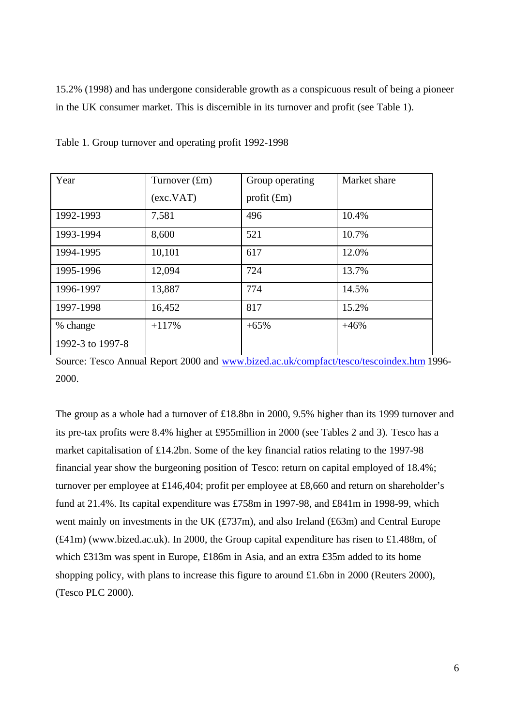15.2% (1998) and has undergone considerable growth as a conspicuous result of being a pioneer in the UK consumer market. This is discernible in its turnover and profit (see Table 1).

| Year             | Turnover $(fm)$ | Group operating | Market share |
|------------------|-----------------|-----------------|--------------|
|                  | (exc.VAT)       | profit $(f_m)$  |              |
| 1992-1993        | 7,581           | 496             | 10.4%        |
| 1993-1994        | 8,600           | 521             | 10.7%        |
| 1994-1995        | 10,101          | 617             | 12.0%        |
| 1995-1996        | 12,094          | 724             | 13.7%        |
| 1996-1997        | 13,887          | 774             | 14.5%        |
| 1997-1998        | 16,452          | 817             | 15.2%        |
| % change         | $+117%$         | $+65%$          | $+46%$       |
| 1992-3 to 1997-8 |                 |                 |              |

Table 1. Group turnover and operating profit 1992-1998

Source: Tesco Annual Report 2000 and www.bized.ac.uk/compfact/tesco/tescoindex.htm 1996- 2000.

The group as a whole had a turnover of £18.8bn in 2000, 9.5% higher than its 1999 turnover and its pre-tax profits were 8.4% higher at £955million in 2000 (see Tables 2 and 3). Tesco has a market capitalisation of £14.2bn. Some of the key financial ratios relating to the 1997-98 financial year show the burgeoning position of Tesco: return on capital employed of 18.4%; turnover per employee at £146,404; profit per employee at £8,660 and return on shareholder's fund at 21.4%. Its capital expenditure was £758m in 1997-98, and £841m in 1998-99, which went mainly on investments in the UK (£737m), and also Ireland (£63m) and Central Europe (£41m) (www.bized.ac.uk). In 2000, the Group capital expenditure has risen to £1.488m, of which £313m was spent in Europe, £186m in Asia, and an extra £35m added to its home shopping policy, with plans to increase this figure to around £1.6bn in 2000 (Reuters 2000), (Tesco PLC 2000).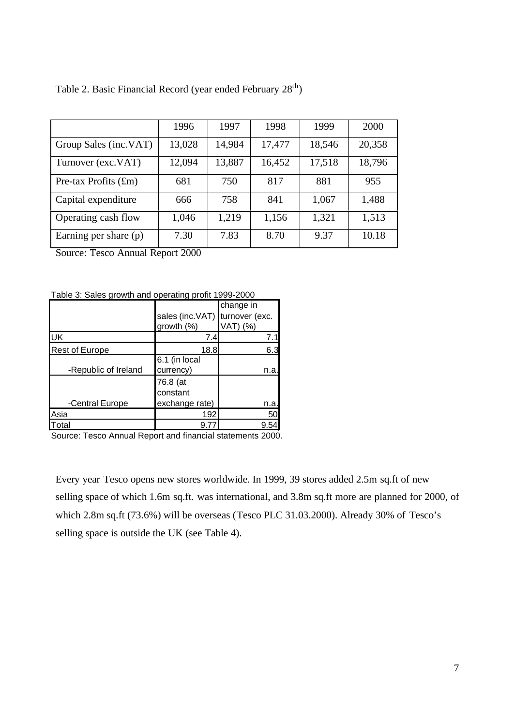|                        | 1996   | 1997   | 1998   | 1999   | 2000   |
|------------------------|--------|--------|--------|--------|--------|
| Group Sales (inc.VAT)  | 13,028 | 14,984 | 17,477 | 18,546 | 20,358 |
| Turnover (exc.VAT)     | 12,094 | 13,887 | 16,452 | 17,518 | 18,796 |
| Pre-tax Profits $(fm)$ | 681    | 750    | 817    | 881    | 955    |
| Capital expenditure    | 666    | 758    | 841    | 1,067  | 1,488  |
| Operating cash flow    | 1,046  | 1,219  | 1,156  | 1,321  | 1,513  |
| Earning per share (p)  | 7.30   | 7.83   | 8.70   | 9.37   | 10.18  |

Table 2. Basic Financial Record (year ended February 28<sup>th</sup>)

Source: Tesco Annual Report 2000

Table 3: Sales growth and operating profit 1999-2000

|                       |                                | change in |
|-----------------------|--------------------------------|-----------|
|                       | sales (inc.VAT) turnover (exc. |           |
|                       | growth (%)                     | VAT) (%)  |
| luк                   | 7.4                            | 7.1       |
| <b>Rest of Europe</b> | 18.8l                          | 6.3       |
|                       | 6.1 (in local                  |           |
| -Republic of Ireland  | currency)                      | n.a       |
|                       | 76.8 (at                       |           |
|                       | constant                       |           |
| -Central Europe       | exchange rate)                 | n.a.      |
| Asia                  | 192                            | 50        |
| Total                 | 9.7                            |           |

Source: Tesco Annual Report and financial statements 2000.

Every year Tesco opens new stores worldwide. In 1999, 39 stores added 2.5m sq.ft of new selling space of which 1.6m sq.ft. was international, and 3.8m sq.ft more are planned for 2000, of which 2.8m sq.ft (73.6%) will be overseas (Tesco PLC 31.03.2000). Already 30% of Tesco's selling space is outside the UK (see Table 4).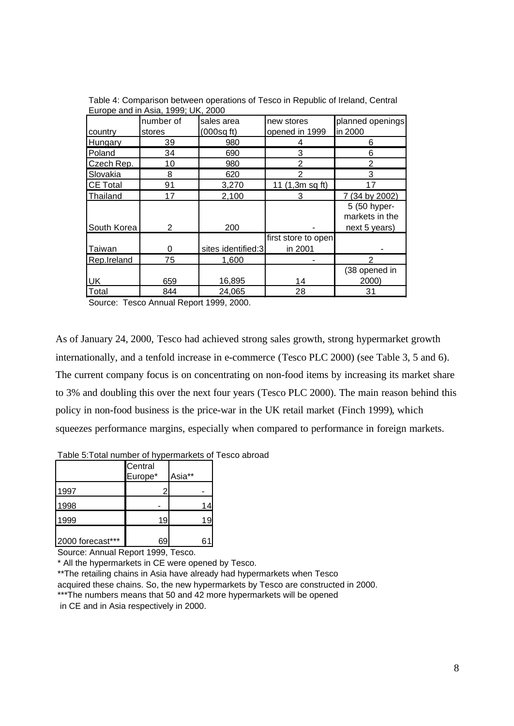| Luibpe and in Asia, 1999, OR, 2000 |           |                    |                     |                  |  |  |
|------------------------------------|-----------|--------------------|---------------------|------------------|--|--|
|                                    | number of | sales area         | new stores          | planned openings |  |  |
| country                            | stores    | $(000sq$ ft)       | opened in 1999      | in 2000          |  |  |
| Hungary                            | 39        | 980                |                     | 6                |  |  |
| Poland                             | 34        | 690                | 3                   | 6                |  |  |
| Czech Rep.                         | 10        | 980                | $\overline{2}$      | $\overline{2}$   |  |  |
| Slovakia                           | 8         | 620                | っ                   | 3                |  |  |
| <b>CE Total</b>                    | 91        | 3,270              | 11 (1,3m sq ft)     | 17               |  |  |
| Thailand                           | 17        | 2,100              | 3                   | 7 (34 by 2002)   |  |  |
|                                    |           |                    |                     | 5 (50 hyper-     |  |  |
|                                    |           |                    |                     | markets in the   |  |  |
| South Korea                        | 2         | 200                |                     | next 5 years)    |  |  |
|                                    |           |                    | first store to open |                  |  |  |
| Taiwan                             | O         | sites identified:3 | in 2001             |                  |  |  |
| Rep.Ireland                        | 75        | 1,600              |                     |                  |  |  |
|                                    |           |                    |                     | (38 opened in    |  |  |
| <b>UK</b>                          | 659       | 16,895             | 14                  | 2000)            |  |  |
| Total                              | 844       | 24,065             | 28                  | 31               |  |  |

Table 4: Comparison between operations of Tesco in Republic of Ireland, Central Europe and in Asia, 1999; UK, 2000

Source: Tesco Annual Report 1999, 2000.

As of January 24, 2000, Tesco had achieved strong sales growth, strong hypermarket growth internationally, and a tenfold increase in e-commerce (Tesco PLC 2000) (see Table 3, 5 and 6). The current company focus is on concentrating on non-food items by increasing its market share to 3% and doubling this over the next four years (Tesco PLC 2000). The main reason behind this policy in non-food business is the price-war in the UK retail market (Finch 1999), which squeezes performance margins, especially when compared to performance in foreign markets.

|                  | Central<br>Europe* | Asia** |    |
|------------------|--------------------|--------|----|
| 1997             |                    |        |    |
| 1998             |                    |        |    |
| 1999             | 19                 |        | 19 |
| 2000 forecast*** | 69                 |        |    |

Table 5:Total number of hypermarkets of Tesco abroad

Source: Annual Report 1999, Tesco.

\* All the hypermarkets in CE were opened by Tesco.

\*\*The retailing chains in Asia have already had hypermarkets when Tesco acquired these chains. So, the new hypermarkets by Tesco are constructed in 2000. \*\*\*The numbers means that 50 and 42 more hypermarkets will be opened

in CE and in Asia respectively in 2000.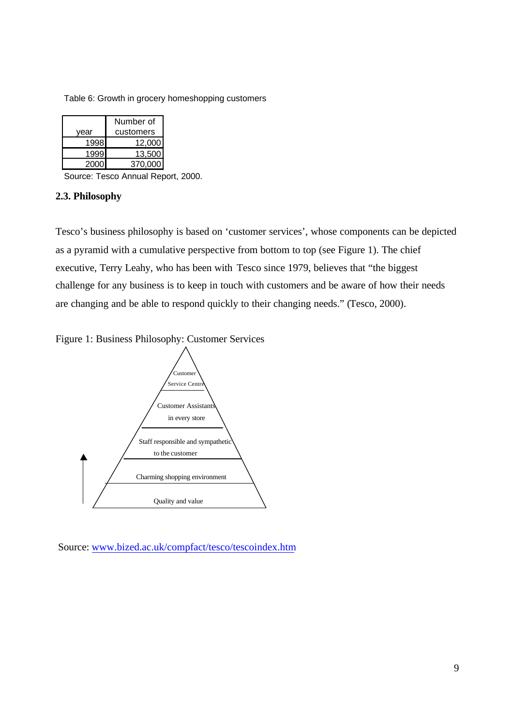Table 6: Growth in grocery homeshopping customers

|      | Number of |
|------|-----------|
| vear | customers |
| 1998 | 12.000    |
| 1999 | 13.500    |
| 2000 | 370,000   |

Source: Tesco Annual Report, 2000.

#### **2.3. Philosophy**

Tesco's business philosophy is based on 'customer services', whose components can be depicted as a pyramid with a cumulative perspective from bottom to top (see Figure 1). The chief executive, Terry Leahy, who has been with Tesco since 1979, believes that "the biggest challenge for any business is to keep in touch with customers and be aware of how their needs are changing and be able to respond quickly to their changing needs." (Tesco, 2000).

Figure 1: Business Philosophy: Customer Services



Source: www.bized.ac.uk/compfact/tesco/tescoindex.htm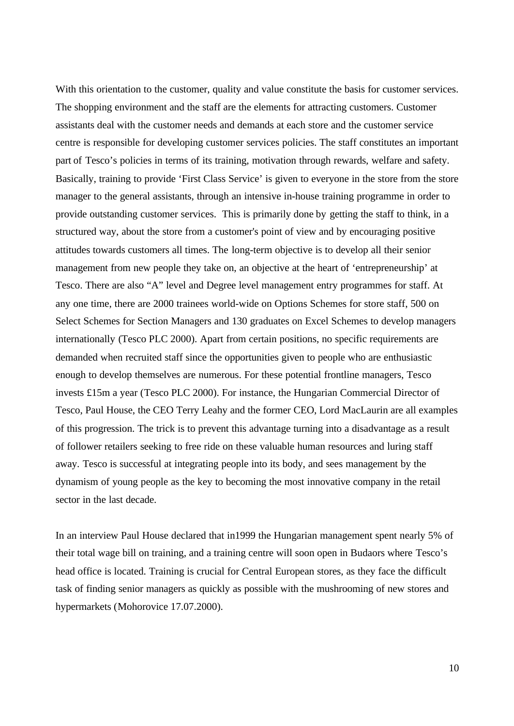With this orientation to the customer, quality and value constitute the basis for customer services. The shopping environment and the staff are the elements for attracting customers. Customer assistants deal with the customer needs and demands at each store and the customer service centre is responsible for developing customer services policies. The staff constitutes an important part of Tesco's policies in terms of its training, motivation through rewards, welfare and safety. Basically, training to provide 'First Class Service' is given to everyone in the store from the store manager to the general assistants, through an intensive in-house training programme in order to provide outstanding customer services. This is primarily done by getting the staff to think, in a structured way, about the store from a customer's point of view and by encouraging positive attitudes towards customers all times. The long-term objective is to develop all their senior management from new people they take on, an objective at the heart of 'entrepreneurship' at Tesco. There are also "A" level and Degree level management entry programmes for staff. At any one time, there are 2000 trainees world-wide on Options Schemes for store staff, 500 on Select Schemes for Section Managers and 130 graduates on Excel Schemes to develop managers internationally (Tesco PLC 2000). Apart from certain positions, no specific requirements are demanded when recruited staff since the opportunities given to people who are enthusiastic enough to develop themselves are numerous. For these potential frontline managers, Tesco invests £15m a year (Tesco PLC 2000). For instance, the Hungarian Commercial Director of Tesco, Paul House, the CEO Terry Leahy and the former CEO, Lord MacLaurin are all examples of this progression. The trick is to prevent this advantage turning into a disadvantage as a result of follower retailers seeking to free ride on these valuable human resources and luring staff away. Tesco is successful at integrating people into its body, and sees management by the dynamism of young people as the key to becoming the most innovative company in the retail sector in the last decade.

In an interview Paul House declared that in1999 the Hungarian management spent nearly 5% of their total wage bill on training, and a training centre will soon open in Budaors where Tesco's head office is located. Training is crucial for Central European stores, as they face the difficult task of finding senior managers as quickly as possible with the mushrooming of new stores and hypermarkets (Mohorovice 17.07.2000).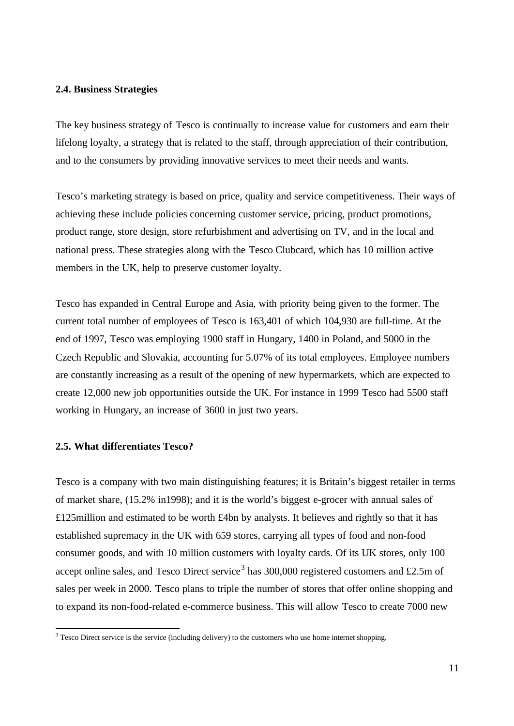### **2.4. Business Strategies**

The key business strategy of Tesco is continually to increase value for customers and earn their lifelong loyalty, a strategy that is related to the staff, through appreciation of their contribution, and to the consumers by providing innovative services to meet their needs and wants.

Tesco's marketing strategy is based on price, quality and service competitiveness. Their ways of achieving these include policies concerning customer service, pricing, product promotions, product range, store design, store refurbishment and advertising on TV, and in the local and national press. These strategies along with the Tesco Clubcard, which has 10 million active members in the UK, help to preserve customer loyalty.

Tesco has expanded in Central Europe and Asia, with priority being given to the former. The current total number of employees of Tesco is 163,401 of which 104,930 are full-time. At the end of 1997, Tesco was employing 1900 staff in Hungary, 1400 in Poland, and 5000 in the Czech Republic and Slovakia, accounting for 5.07% of its total employees. Employee numbers are constantly increasing as a result of the opening of new hypermarkets, which are expected to create 12,000 new job opportunities outside the UK. For instance in 1999 Tesco had 5500 staff working in Hungary, an increase of 3600 in just two years.

#### **2.5. What differentiates Tesco?**

l

Tesco is a company with two main distinguishing features; it is Britain's biggest retailer in terms of market share, (15.2% in1998); and it is the world's biggest e-grocer with annual sales of £125million and estimated to be worth £4bn by analysts. It believes and rightly so that it has established supremacy in the UK with 659 stores, carrying all types of food and non-food consumer goods, and with 10 million customers with loyalty cards. Of its UK stores, only 100 accept online sales, and Tesco Direct service<sup>3</sup> has 300,000 registered customers and £2.5m of sales per week in 2000. Tesco plans to triple the number of stores that offer online shopping and to expand its non-food-related e-commerce business. This will allow Tesco to create 7000 new

 $3$  Tesco Direct service is the service (including delivery) to the customers who use home internet shopping.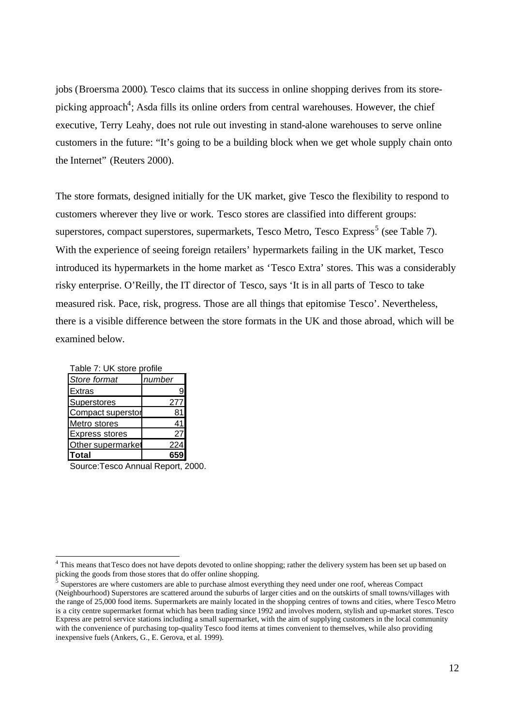jobs (Broersma 2000). Tesco claims that its success in online shopping derives from its storepicking approach<sup>4</sup>; Asda fills its online orders from central warehouses. However, the chief executive, Terry Leahy, does not rule out investing in stand-alone warehouses to serve online customers in the future: "It's going to be a building block when we get whole supply chain onto the Internet" (Reuters 2000).

The store formats, designed initially for the UK market, give Tesco the flexibility to respond to customers wherever they live or work. Tesco stores are classified into different groups: superstores, compact superstores, supermarkets, Tesco Metro, Tesco Express<sup>5</sup> (see Table 7). With the experience of seeing foreign retailers' hypermarkets failing in the UK market, Tesco introduced its hypermarkets in the home market as 'Tesco Extra' stores. This was a considerably risky enterprise. O'Reilly, the IT director of Tesco, says 'It is in all parts of Tesco to take measured risk. Pace, risk, progress. Those are all things that epitomise Tesco'. Nevertheless, there is a visible difference between the store formats in the UK and those abroad, which will be examined below.

| Table 7: UK store profile |        |  |
|---------------------------|--------|--|
| Store format              | number |  |
| Extras                    | 9      |  |
| Superstores               | 277    |  |
| <b>Compact superstor</b>  | 81     |  |
| Metro stores              | 41     |  |
| <b>Express stores</b>     | 27     |  |
| Other supermarket         | 224    |  |
| <b>Total</b>              |        |  |

Source:Tesco Annual Report, 2000.

<sup>&</sup>lt;sup>4</sup> This means that Tesco does not have depots devoted to online shopping; rather the delivery system has been set up based on picking the goods from those stores that do offer online shopping.

<sup>5</sup> Superstores are where customers are able to purchase almost everything they need under one roof, whereas Compact (Neighbourhood) Superstores are scattered around the suburbs of larger cities and on the outskirts of small towns/villages with the range of 25,000 food items. Supermarkets are mainly located in the shopping centres of towns and cities, where Tesco Metro is a city centre supermarket format which has been trading since 1992 and involves modern, stylish and up-market stores. Tesco Express are petrol service stations including a small supermarket, with the aim of supplying customers in the local community with the convenience of purchasing top-quality Tesco food items at times convenient to themselves, while also providing inexpensive fuels (Ankers, G., E. Gerova, et al. 1999).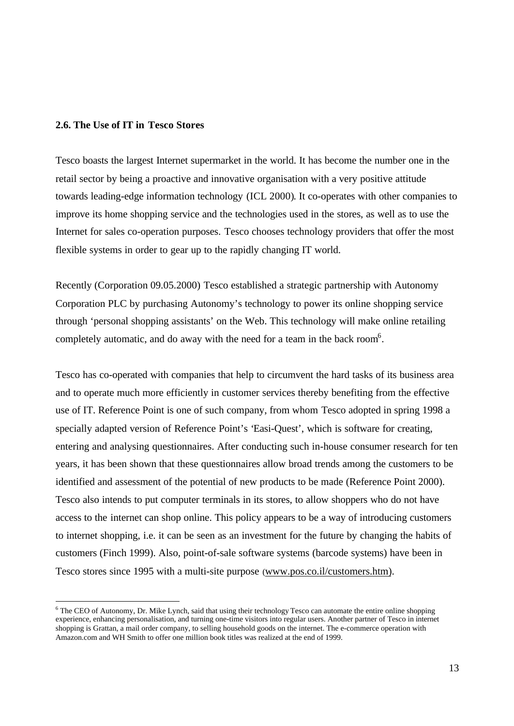## **2.6. The Use of IT in Tesco Stores**

l

Tesco boasts the largest Internet supermarket in the world. It has become the number one in the retail sector by being a proactive and innovative organisation with a very positive attitude towards leading-edge information technology (ICL 2000). It co-operates with other companies to improve its home shopping service and the technologies used in the stores, as well as to use the Internet for sales co-operation purposes. Tesco chooses technology providers that offer the most flexible systems in order to gear up to the rapidly changing IT world.

Recently (Corporation 09.05.2000) Tesco established a strategic partnership with Autonomy Corporation PLC by purchasing Autonomy's technology to power its online shopping service through 'personal shopping assistants' on the Web. This technology will make online retailing completely automatic, and do away with the need for a team in the back room<sup>6</sup>.

Tesco has co-operated with companies that help to circumvent the hard tasks of its business area and to operate much more efficiently in customer services thereby benefiting from the effective use of IT. Reference Point is one of such company, from whom Tesco adopted in spring 1998 a specially adapted version of Reference Point's 'Easi-Quest', which is software for creating, entering and analysing questionnaires. After conducting such in-house consumer research for ten years, it has been shown that these questionnaires allow broad trends among the customers to be identified and assessment of the potential of new products to be made (Reference Point 2000). Tesco also intends to put computer terminals in its stores, to allow shoppers who do not have access to the internet can shop online. This policy appears to be a way of introducing customers to internet shopping, i.e. it can be seen as an investment for the future by changing the habits of customers (Finch 1999). Also, point-of-sale software systems (barcode systems) have been in Tesco stores since 1995 with a multi-site purpose (www.pos.co.il/customers.htm).

<sup>&</sup>lt;sup>6</sup> The CEO of Autonomy, Dr. Mike Lynch, said that using their technology Tesco can automate the entire online shopping experience, enhancing personalisation, and turning one-time visitors into regular users. Another partner of Tesco in internet shopping is Grattan, a mail order company, to selling household goods on the internet. The e-commerce operation with Amazon.com and WH Smith to offer one million book titles was realized at the end of 1999.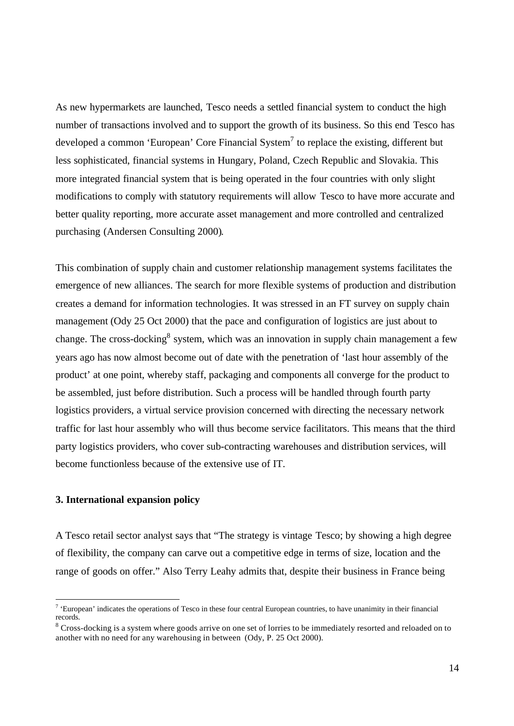As new hypermarkets are launched, Tesco needs a settled financial system to conduct the high number of transactions involved and to support the growth of its business. So this end Tesco has developed a common 'European' Core Financial System<sup>7</sup> to replace the existing, different but less sophisticated, financial systems in Hungary, Poland, Czech Republic and Slovakia. This more integrated financial system that is being operated in the four countries with only slight modifications to comply with statutory requirements will allow Tesco to have more accurate and better quality reporting, more accurate asset management and more controlled and centralized purchasing (Andersen Consulting 2000).

This combination of supply chain and customer relationship management systems facilitates the emergence of new alliances. The search for more flexible systems of production and distribution creates a demand for information technologies. It was stressed in an FT survey on supply chain management (Ody 25 Oct 2000) that the pace and configuration of logistics are just about to change. The cross-docking<sup>8</sup> system, which was an innovation in supply chain management a few years ago has now almost become out of date with the penetration of 'last hour assembly of the product' at one point, whereby staff, packaging and components all converge for the product to be assembled, just before distribution. Such a process will be handled through fourth party logistics providers, a virtual service provision concerned with directing the necessary network traffic for last hour assembly who will thus become service facilitators. This means that the third party logistics providers, who cover sub-contracting warehouses and distribution services, will become functionless because of the extensive use of IT.

# **3. International expansion policy**

l

A Tesco retail sector analyst says that "The strategy is vintage Tesco; by showing a high degree of flexibility, the company can carve out a competitive edge in terms of size, location and the range of goods on offer." Also Terry Leahy admits that, despite their business in France being

 $\alpha$ <sup>t</sup> European' indicates the operations of Tesco in these four central European countries, to have unanimity in their financial records.

 $8$  Cross-docking is a system where goods arrive on one set of lorries to be immediately resorted and reloaded on to another with no need for any warehousing in between (Ody, P. 25 Oct 2000).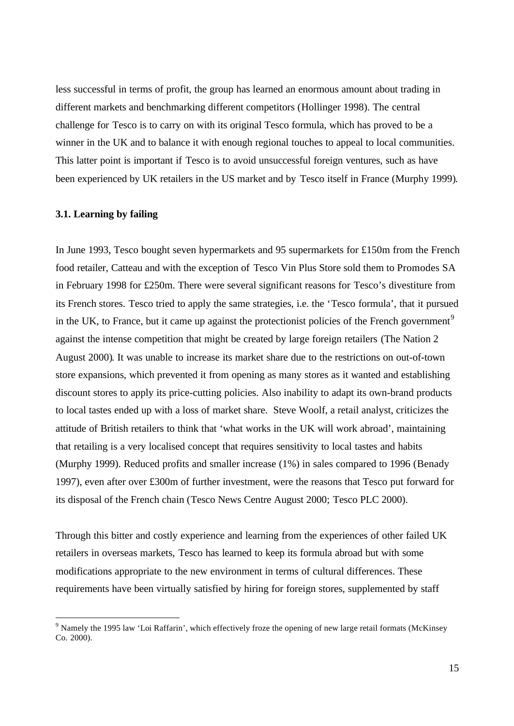less successful in terms of profit, the group has learned an enormous amount about trading in different markets and benchmarking different competitors (Hollinger 1998). The central challenge for Tesco is to carry on with its original Tesco formula, which has proved to be a winner in the UK and to balance it with enough regional touches to appeal to local communities. This latter point is important if Tesco is to avoid unsuccessful foreign ventures, such as have been experienced by UK retailers in the US market and by Tesco itself in France (Murphy 1999).

# **3.1. Learning by failing**

l

In June 1993, Tesco bought seven hypermarkets and 95 supermarkets for £150m from the French food retailer, Catteau and with the exception of Tesco Vin Plus Store sold them to Promodes SA in February 1998 for £250m. There were several significant reasons for Tesco's divestiture from its French stores. Tesco tried to apply the same strategies, i.e. the 'Tesco formula', that it pursued in the UK, to France, but it came up against the protectionist policies of the French government<sup>9</sup> against the intense competition that might be created by large foreign retailers (The Nation 2 August 2000). It was unable to increase its market share due to the restrictions on out-of-town store expansions, which prevented it from opening as many stores as it wanted and establishing discount stores to apply its price-cutting policies. Also inability to adapt its own-brand products to local tastes ended up with a loss of market share. Steve Woolf, a retail analyst, criticizes the attitude of British retailers to think that 'what works in the UK will work abroad', maintaining that retailing is a very localised concept that requires sensitivity to local tastes and habits (Murphy 1999). Reduced profits and smaller increase (1%) in sales compared to 1996 (Benady 1997), even after over £300m of further investment, were the reasons that Tesco put forward for its disposal of the French chain (Tesco News Centre August 2000; Tesco PLC 2000).

Through this bitter and costly experience and learning from the experiences of other failed UK retailers in overseas markets, Tesco has learned to keep its formula abroad but with some modifications appropriate to the new environment in terms of cultural differences. These requirements have been virtually satisfied by hiring for foreign stores, supplemented by staff

<sup>&</sup>lt;sup>9</sup> Namely the 1995 law 'Loi Raffarin', which effectively froze the opening of new large retail formats (McKinsey  $Co. 2000$ ).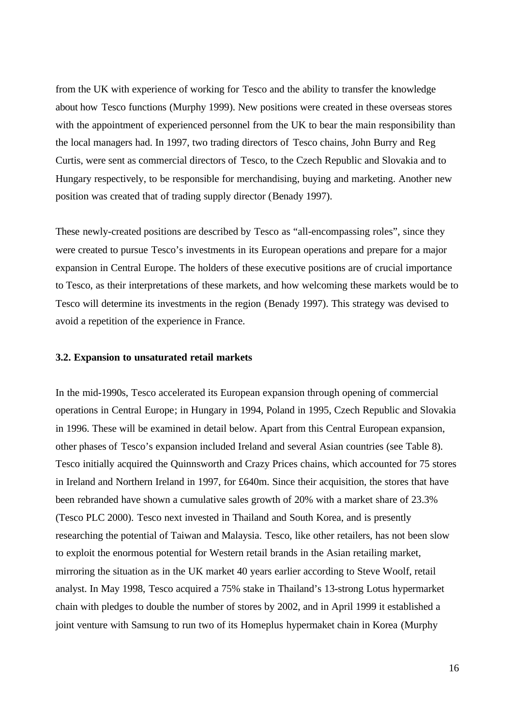from the UK with experience of working for Tesco and the ability to transfer the knowledge about how Tesco functions (Murphy 1999). New positions were created in these overseas stores with the appointment of experienced personnel from the UK to bear the main responsibility than the local managers had. In 1997, two trading directors of Tesco chains, John Burry and Reg Curtis, were sent as commercial directors of Tesco, to the Czech Republic and Slovakia and to Hungary respectively, to be responsible for merchandising, buying and marketing. Another new position was created that of trading supply director (Benady 1997).

These newly-created positions are described by Tesco as "all-encompassing roles", since they were created to pursue Tesco's investments in its European operations and prepare for a major expansion in Central Europe. The holders of these executive positions are of crucial importance to Tesco, as their interpretations of these markets, and how welcoming these markets would be to Tesco will determine its investments in the region (Benady 1997). This strategy was devised to avoid a repetition of the experience in France.

## **3.2. Expansion to unsaturated retail markets**

In the mid-1990s, Tesco accelerated its European expansion through opening of commercial operations in Central Europe; in Hungary in 1994, Poland in 1995, Czech Republic and Slovakia in 1996. These will be examined in detail below. Apart from this Central European expansion, other phases of Tesco's expansion included Ireland and several Asian countries (see Table 8). Tesco initially acquired the Quinnsworth and Crazy Prices chains, which accounted for 75 stores in Ireland and Northern Ireland in 1997, for £640m. Since their acquisition, the stores that have been rebranded have shown a cumulative sales growth of 20% with a market share of 23.3% (Tesco PLC 2000). Tesco next invested in Thailand and South Korea, and is presently researching the potential of Taiwan and Malaysia. Tesco, like other retailers, has not been slow to exploit the enormous potential for Western retail brands in the Asian retailing market, mirroring the situation as in the UK market 40 years earlier according to Steve Woolf, retail analyst. In May 1998, Tesco acquired a 75% stake in Thailand's 13-strong Lotus hypermarket chain with pledges to double the number of stores by 2002, and in April 1999 it established a joint venture with Samsung to run two of its Homeplus hypermaket chain in Korea (Murphy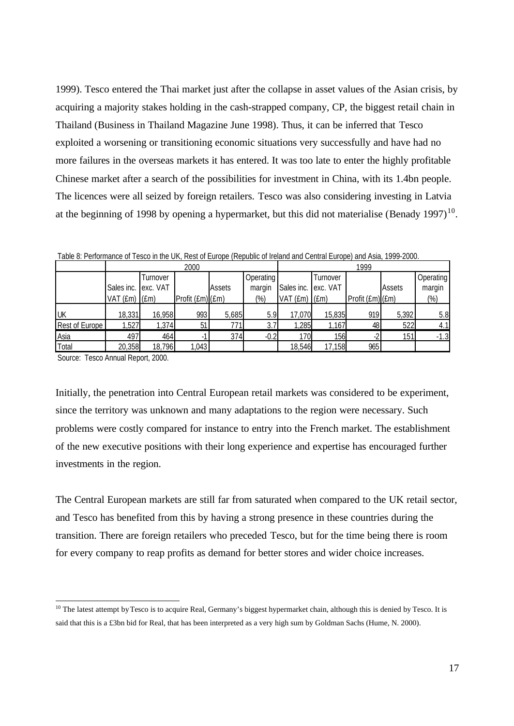1999). Tesco entered the Thai market just after the collapse in asset values of the Asian crisis, by acquiring a majority stakes holding in the cash-strapped company, CP, the biggest retail chain in Thailand (Business in Thailand Magazine June 1998). Thus, it can be inferred that Tesco exploited a worsening or transitioning economic situations very successfully and have had no more failures in the overseas markets it has entered. It was too late to enter the highly profitable Chinese market after a search of the possibilities for investment in China, with its 1.4bn people. The licences were all seized by foreign retailers. Tesco was also considering investing in Latvia at the beginning of 1998 by opening a hypermarket, but this did not materialise (Benady 1997)<sup>10</sup>.

|                | 2000                |          |                 | 1999   |           |                     |          |                  |        |           |
|----------------|---------------------|----------|-----------------|--------|-----------|---------------------|----------|------------------|--------|-----------|
|                |                     | Turnover |                 |        | Operating |                     | Turnover |                  |        | Operating |
|                | Sales inc. exc. VAT |          |                 | Assets | margin    | Sales inc. exc. VAT |          |                  | Assets | margin    |
|                | $VAT$ (£m) $I(Em)$  |          | Profit (Em)(Em) |        | (%)       | $VAT$ (£m) (£m)     |          | Profit (£m) (£m) |        | $(\%)$    |
|                |                     |          |                 |        |           |                     |          |                  |        |           |
| UK             | 18,331              | 16,958   | 993             | 5,685  | 5.9       | 17,070              | 15,835   | 919              | 5,392  | 5.8       |
| Rest of Europe | 1,527               | 1,374    | 51              | 771    | 3.7       | 1,285               | 1,167    | 48               | 522    | 4.1       |
| Asia           | 497                 | 464      |                 | 374    | $-0.2$    | 170I                | 156      |                  | 151    | $-1.3$    |
| Total          | 20,358              | 18,796   | 1,043           |        |           | 18,546              | 17,158   | 965              |        |           |

Table 8: Performance of Tesco in the UK, Rest of Europe (Republic of Ireland and Central Europe) and Asia, 1999-2000.

Source: Tesco Annual Report, 2000.

l

Initially, the penetration into Central European retail markets was considered to be experiment, since the territory was unknown and many adaptations to the region were necessary. Such problems were costly compared for instance to entry into the French market. The establishment of the new executive positions with their long experience and expertise has encouraged further investments in the region.

The Central European markets are still far from saturated when compared to the UK retail sector, and Tesco has benefited from this by having a strong presence in these countries during the transition. There are foreign retailers who preceded Tesco, but for the time being there is room for every company to reap profits as demand for better stores and wider choice increases.

 $10$  The latest attempt by Tesco is to acquire Real, Germany's biggest hypermarket chain, although this is denied by Tesco. It is said that this is a £3bn bid for Real, that has been interpreted as a very high sum by Goldman Sachs (Hume, N. 2000).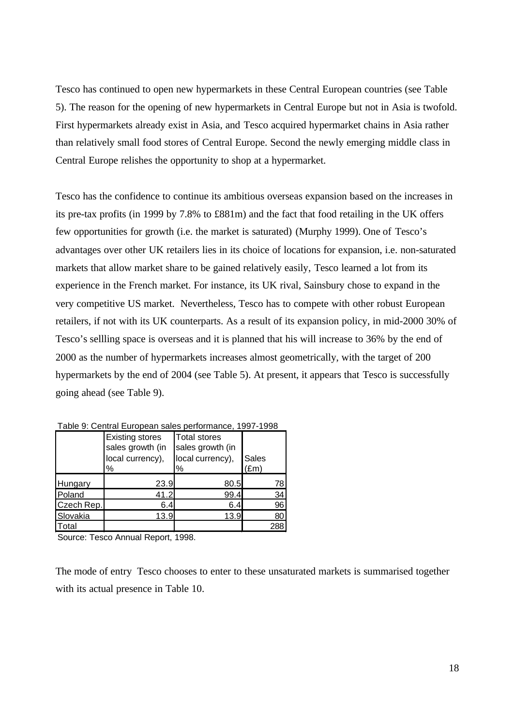Tesco has continued to open new hypermarkets in these Central European countries (see Table 5). The reason for the opening of new hypermarkets in Central Europe but not in Asia is twofold. First hypermarkets already exist in Asia, and Tesco acquired hypermarket chains in Asia rather than relatively small food stores of Central Europe. Second the newly emerging middle class in Central Europe relishes the opportunity to shop at a hypermarket.

Tesco has the confidence to continue its ambitious overseas expansion based on the increases in its pre-tax profits (in 1999 by 7.8% to £881m) and the fact that food retailing in the UK offers few opportunities for growth (i.e. the market is saturated) (Murphy 1999). One of Tesco's advantages over other UK retailers lies in its choice of locations for expansion, i.e. non-saturated markets that allow market share to be gained relatively easily, Tesco learned a lot from its experience in the French market. For instance, its UK rival, Sainsbury chose to expand in the very competitive US market. Nevertheless, Tesco has to compete with other robust European retailers, if not with its UK counterparts. As a result of its expansion policy, in mid-2000 30% of Tesco's sellling space is overseas and it is planned that his will increase to 36% by the end of 2000 as the number of hypermarkets increases almost geometrically, with the target of 200 hypermarkets by the end of 2004 (see Table 5). At present, it appears that Tesco is successfully going ahead (see Table 9).

|            | <b>Existing stores</b><br>sales growth (in<br>local currency),<br>% | <b>Total stores</b><br>sales growth (in<br>local currency),<br>% | Sales<br>(£m |
|------------|---------------------------------------------------------------------|------------------------------------------------------------------|--------------|
| Hungary    | 23.9                                                                | 80.5                                                             | 78           |
| Poland     | 41.2                                                                | 99.4                                                             | 34           |
| Czech Rep. | 6.4                                                                 | 6.4                                                              | 96           |
| Slovakia   | 13.9                                                                | 13.9                                                             | 80           |
| Total      |                                                                     |                                                                  | 288          |

| Table 9: Central European sales performance, 1997-1998 |
|--------------------------------------------------------|
|--------------------------------------------------------|

Source: Tesco Annual Report, 1998.

The mode of entry Tesco chooses to enter to these unsaturated markets is summarised together with its actual presence in Table 10.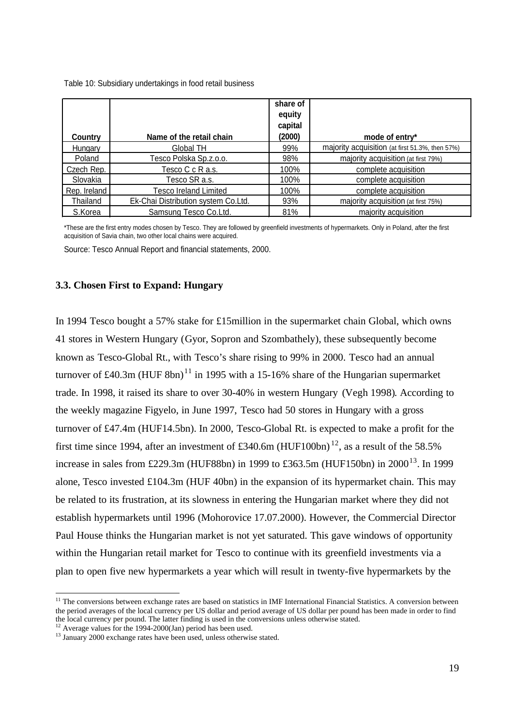Table 10: Subsidiary undertakings in food retail business

| Country      | Name of the retail chain            | share of<br>equity<br>capital<br>(2000) | mode of entry*                                  |
|--------------|-------------------------------------|-----------------------------------------|-------------------------------------------------|
| Hungary      | Global TH                           | 99%                                     | majority acquisition (at first 51.3%, then 57%) |
| Poland       | Tesco Polska Sp.z.o.o.              | 98%                                     | majority acquisition (at first 79%)             |
| Czech Rep.   | Tesco C c R a.s.                    | 100%                                    | complete acquisition                            |
| Slovakia     | Tesco SR a.s.                       | 100%                                    | complete acquisition                            |
| Rep. Ireland | <b>Tesco Ireland Limited</b>        | 100%                                    | complete acquisition                            |
| Thailand     | Ek-Chai Distribution system Co.Ltd. | 93%                                     | majority acquisition (at first 75%)             |
| S.Korea      | Samsung Tesco Co.Ltd.               | 81%                                     | majority acquisition                            |

\*These are the first entry modes chosen by Tesco. They are followed by greenfield investments of hypermarkets. Only in Poland, after the first acquisition of Savia chain, two other local chains were acquired.

Source: Tesco Annual Report and financial statements, 2000.

#### **3.3. Chosen First to Expand: Hungary**

In 1994 Tesco bought a 57% stake for £15million in the supermarket chain Global, which owns 41 stores in Western Hungary (Gyor, Sopron and Szombathely), these subsequently become known as Tesco-Global Rt., with Tesco's share rising to 99% in 2000. Tesco had an annual turnover of £40.3m (HUF 8bn)<sup>11</sup> in 1995 with a 15-16% share of the Hungarian supermarket trade. In 1998, it raised its share to over 30-40% in western Hungary (Vegh 1998). According to the weekly magazine Figyelo, in June 1997, Tesco had 50 stores in Hungary with a gross turnover of £47.4m (HUF14.5bn). In 2000, Tesco-Global Rt. is expected to make a profit for the first time since 1994, after an investment of £340.6m (HUF100bn)<sup>12</sup>, as a result of the 58.5% increase in sales from £229.3m (HUF88bn) in 1999 to £363.5m (HUF150bn) in  $2000^{13}$ . In 1999 alone, Tesco invested  $\pounds 104.3m$  (HUF 40bn) in the expansion of its hypermarket chain. This may be related to its frustration, at its slowness in entering the Hungarian market where they did not establish hypermarkets until 1996 (Mohorovice 17.07.2000). However, the Commercial Director Paul House thinks the Hungarian market is not yet saturated. This gave windows of opportunity within the Hungarian retail market for Tesco to continue with its greenfield investments via a plan to open five new hypermarkets a year which will result in twenty-five hypermarkets by the

l

 $11$  The conversions between exchange rates are based on statistics in IMF International Financial Statistics. A conversion between the period averages of the local currency per US dollar and period average of US dollar per pound has been made in order to find the local currency per pound. The latter finding is used in the conversions unless otherwise stated.

<sup>&</sup>lt;sup>12</sup> Average values for the 1994-2000(Jan) period has been used.

<sup>&</sup>lt;sup>13</sup> January 2000 exchange rates have been used, unless otherwise stated.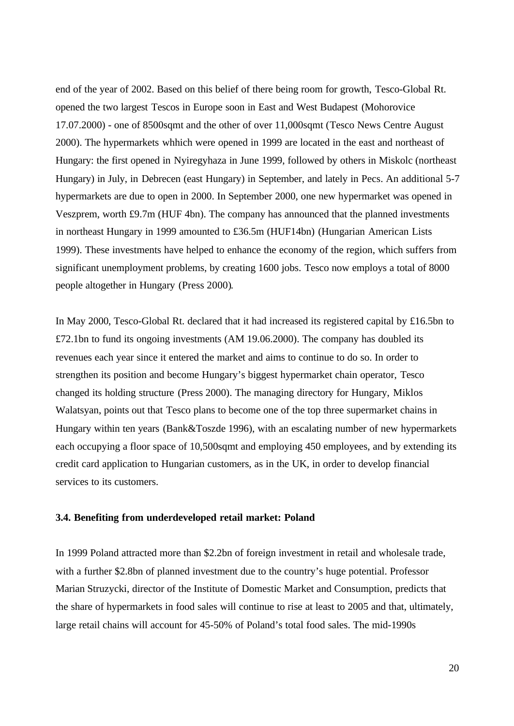end of the year of 2002. Based on this belief of there being room for growth, Tesco-Global Rt. opened the two largest Tescos in Europe soon in East and West Budapest (Mohorovice 17.07.2000) - one of 8500sqmt and the other of over 11,000sqmt (Tesco News Centre August 2000). The hypermarkets whhich were opened in 1999 are located in the east and northeast of Hungary: the first opened in Nyiregyhaza in June 1999, followed by others in Miskolc (northeast Hungary) in July, in Debrecen (east Hungary) in September, and lately in Pecs. An additional 5-7 hypermarkets are due to open in 2000. In September 2000, one new hypermarket was opened in Veszprem, worth £9.7m (HUF 4bn). The company has announced that the planned investments in northeast Hungary in 1999 amounted to £36.5m (HUF14bn) (Hungarian American Lists 1999). These investments have helped to enhance the economy of the region, which suffers from significant unemployment problems, by creating 1600 jobs. Tesco now employs a total of 8000 people altogether in Hungary (Press 2000).

In May 2000, Tesco-Global Rt. declared that it had increased its registered capital by £16.5bn to £72.1bn to fund its ongoing investments (AM 19.06.2000). The company has doubled its revenues each year since it entered the market and aims to continue to do so. In order to strengthen its position and become Hungary's biggest hypermarket chain operator, Tesco changed its holding structure (Press 2000). The managing directory for Hungary, Miklos Walatsyan, points out that Tesco plans to become one of the top three supermarket chains in Hungary within ten years (Bank&Toszde 1996), with an escalating number of new hypermarkets each occupying a floor space of 10,500sqmt and employing 450 employees, and by extending its credit card application to Hungarian customers, as in the UK, in order to develop financial services to its customers.

#### **3.4. Benefiting from underdeveloped retail market: Poland**

In 1999 Poland attracted more than \$2.2bn of foreign investment in retail and wholesale trade, with a further \$2.8bn of planned investment due to the country's huge potential. Professor Marian Struzycki, director of the Institute of Domestic Market and Consumption, predicts that the share of hypermarkets in food sales will continue to rise at least to 2005 and that, ultimately, large retail chains will account for 45-50% of Poland's total food sales. The mid-1990s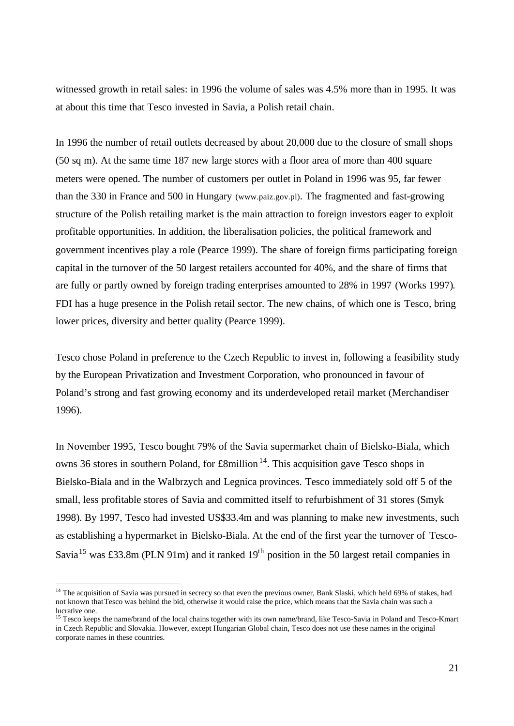witnessed growth in retail sales: in 1996 the volume of sales was 4.5% more than in 1995. It was at about this time that Tesco invested in Savia, a Polish retail chain.

In 1996 the number of retail outlets decreased by about 20,000 due to the closure of small shops (50 sq m). At the same time 187 new large stores with a floor area of more than 400 square meters were opened. The number of customers per outlet in Poland in 1996 was 95, far fewer than the 330 in France and 500 in Hungary (www.paiz.gov.pl). The fragmented and fast-growing structure of the Polish retailing market is the main attraction to foreign investors eager to exploit profitable opportunities. In addition, the liberalisation policies, the political framework and government incentives play a role (Pearce 1999). The share of foreign firms participating foreign capital in the turnover of the 50 largest retailers accounted for 40%, and the share of firms that are fully or partly owned by foreign trading enterprises amounted to 28% in 1997 (Works 1997). FDI has a huge presence in the Polish retail sector. The new chains, of which one is Tesco, bring lower prices, diversity and better quality (Pearce 1999).

Tesco chose Poland in preference to the Czech Republic to invest in, following a feasibility study by the European Privatization and Investment Corporation, who pronounced in favour of Poland's strong and fast growing economy and its underdeveloped retail market (Merchandiser 1996).

In November 1995, Tesco bought 79% of the Savia supermarket chain of Bielsko-Biala, which owns 36 stores in southern Poland, for  $\pounds 8$ million<sup>14</sup>. This acquisition gave Tesco shops in Bielsko-Biala and in the Walbrzych and Legnica provinces. Tesco immediately sold off 5 of the small, less profitable stores of Savia and committed itself to refurbishment of 31 stores (Smyk 1998). By 1997, Tesco had invested US\$33.4m and was planning to make new investments, such as establishing a hypermarket in Bielsko-Biala. At the end of the first year the turnover of Tesco-Savia<sup>15</sup> was £33.8m (PLN 91m) and it ranked  $19<sup>th</sup>$  position in the 50 largest retail companies in

l

<sup>&</sup>lt;sup>14</sup> The acquisition of Savia was pursued in secrecy so that even the previous owner, Bank Slaski, which held 69% of stakes, had not known that Tesco was behind the bid, otherwise it would raise the price, which means that the Savia chain was such a lucrative one.

<sup>&</sup>lt;sup>15</sup> Tesco keeps the name/brand of the local chains together with its own name/brand, like Tesco-Savia in Poland and Tesco-Kmart in Czech Republic and Slovakia. However, except Hungarian Global chain, Tesco does not use these names in the original corporate names in these countries.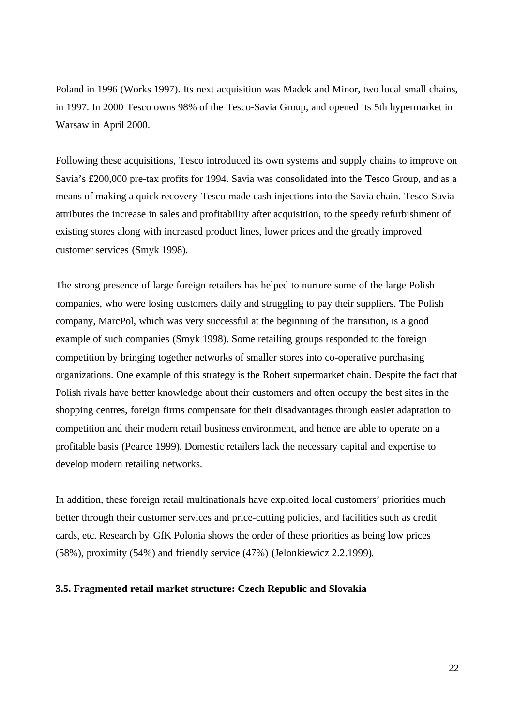Poland in 1996 (Works 1997). Its next acquisition was Madek and Minor, two local small chains, in 1997. In 2000 Tesco owns 98% of the Tesco-Savia Group, and opened its 5th hypermarket in Warsaw in April 2000.

Following these acquisitions, Tesco introduced its own systems and supply chains to improve on Savia's £200,000 pre-tax profits for 1994. Savia was consolidated into the Tesco Group, and as a means of making a quick recovery Tesco made cash injections into the Savia chain. Tesco-Savia attributes the increase in sales and profitability after acquisition, to the speedy refurbishment of existing stores along with increased product lines, lower prices and the greatly improved customer services (Smyk 1998).

The strong presence of large foreign retailers has helped to nurture some of the large Polish companies, who were losing customers daily and struggling to pay their suppliers. The Polish company, MarcPol, which was very successful at the beginning of the transition, is a good example of such companies (Smyk 1998). Some retailing groups responded to the foreign competition by bringing together networks of smaller stores into co-operative purchasing organizations. One example of this strategy is the Robert supermarket chain. Despite the fact that Polish rivals have better knowledge about their customers and often occupy the best sites in the shopping centres, foreign firms compensate for their disadvantages through easier adaptation to competition and their modern retail business environment, and hence are able to operate on a profitable basis (Pearce 1999). Domestic retailers lack the necessary capital and expertise to develop modern retailing networks.

In addition, these foreign retail multinationals have exploited local customers' priorities much better through their customer services and price-cutting policies, and facilities such as credit cards, etc. Research by GfK Polonia shows the order of these priorities as being low prices (58%), proximity (54%) and friendly service (47%) (Jelonkiewicz 2.2.1999).

#### **3.5. Fragmented retail market structure: Czech Republic and Slovakia**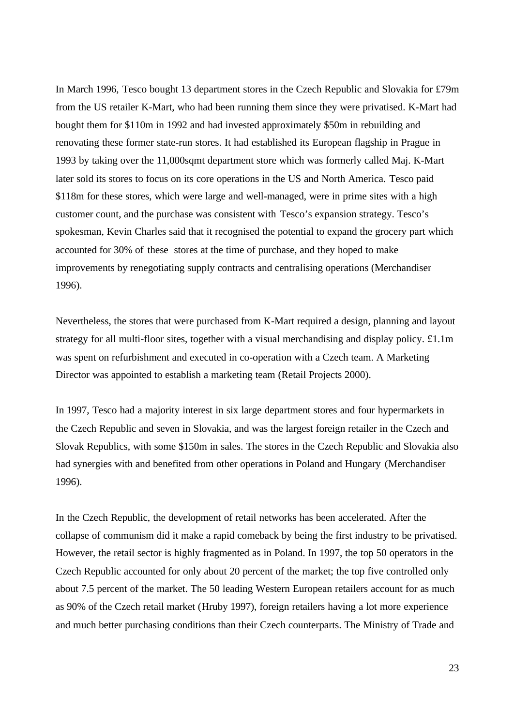In March 1996, Tesco bought 13 department stores in the Czech Republic and Slovakia for £79m from the US retailer K-Mart, who had been running them since they were privatised. K-Mart had bought them for \$110m in 1992 and had invested approximately \$50m in rebuilding and renovating these former state-run stores. It had established its European flagship in Prague in 1993 by taking over the 11,000sqmt department store which was formerly called Maj. K-Mart later sold its stores to focus on its core operations in the US and North America. Tesco paid \$118m for these stores, which were large and well-managed, were in prime sites with a high customer count, and the purchase was consistent with Tesco's expansion strategy. Tesco's spokesman, Kevin Charles said that it recognised the potential to expand the grocery part which accounted for 30% of these stores at the time of purchase, and they hoped to make improvements by renegotiating supply contracts and centralising operations (Merchandiser 1996).

Nevertheless, the stores that were purchased from K-Mart required a design, planning and layout strategy for all multi-floor sites, together with a visual merchandising and display policy. £1.1m was spent on refurbishment and executed in co-operation with a Czech team. A Marketing Director was appointed to establish a marketing team (Retail Projects 2000).

In 1997, Tesco had a majority interest in six large department stores and four hypermarkets in the Czech Republic and seven in Slovakia, and was the largest foreign retailer in the Czech and Slovak Republics, with some \$150m in sales. The stores in the Czech Republic and Slovakia also had synergies with and benefited from other operations in Poland and Hungary (Merchandiser 1996).

In the Czech Republic, the development of retail networks has been accelerated. After the collapse of communism did it make a rapid comeback by being the first industry to be privatised. However, the retail sector is highly fragmented as in Poland. In 1997, the top 50 operators in the Czech Republic accounted for only about 20 percent of the market; the top five controlled only about 7.5 percent of the market. The 50 leading Western European retailers account for as much as 90% of the Czech retail market (Hruby 1997), foreign retailers having a lot more experience and much better purchasing conditions than their Czech counterparts. The Ministry of Trade and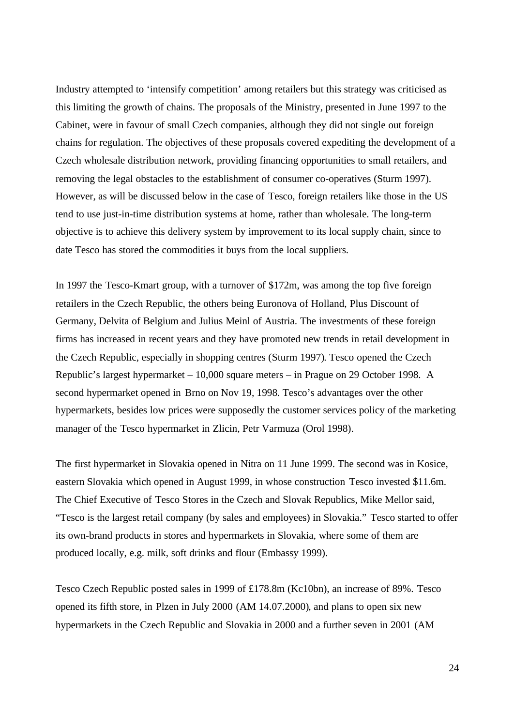Industry attempted to 'intensify competition' among retailers but this strategy was criticised as this limiting the growth of chains. The proposals of the Ministry, presented in June 1997 to the Cabinet, were in favour of small Czech companies, although they did not single out foreign chains for regulation. The objectives of these proposals covered expediting the development of a Czech wholesale distribution network, providing financing opportunities to small retailers, and removing the legal obstacles to the establishment of consumer co-operatives (Sturm 1997). However, as will be discussed below in the case of Tesco, foreign retailers like those in the US tend to use just-in-time distribution systems at home, rather than wholesale. The long-term objective is to achieve this delivery system by improvement to its local supply chain, since to date Tesco has stored the commodities it buys from the local suppliers.

In 1997 the Tesco-Kmart group, with a turnover of \$172m, was among the top five foreign retailers in the Czech Republic, the others being Euronova of Holland, Plus Discount of Germany, Delvita of Belgium and Julius Meinl of Austria. The investments of these foreign firms has increased in recent years and they have promoted new trends in retail development in the Czech Republic, especially in shopping centres (Sturm 1997). Tesco opened the Czech Republic's largest hypermarket – 10,000 square meters – in Prague on 29 October 1998. A second hypermarket opened in Brno on Nov 19, 1998. Tesco's advantages over the other hypermarkets, besides low prices were supposedly the customer services policy of the marketing manager of the Tesco hypermarket in Zlicin, Petr Varmuza (Orol 1998).

The first hypermarket in Slovakia opened in Nitra on 11 June 1999. The second was in Kosice, eastern Slovakia which opened in August 1999, in whose construction Tesco invested \$11.6m. The Chief Executive of Tesco Stores in the Czech and Slovak Republics, Mike Mellor said, "Tesco is the largest retail company (by sales and employees) in Slovakia." Tesco started to offer its own-brand products in stores and hypermarkets in Slovakia, where some of them are produced locally, e.g. milk, soft drinks and flour (Embassy 1999).

Tesco Czech Republic posted sales in 1999 of £178.8m (Kc10bn), an increase of 89%. Tesco opened its fifth store, in Plzen in July 2000 (AM 14.07.2000), and plans to open six new hypermarkets in the Czech Republic and Slovakia in 2000 and a further seven in 2001 (AM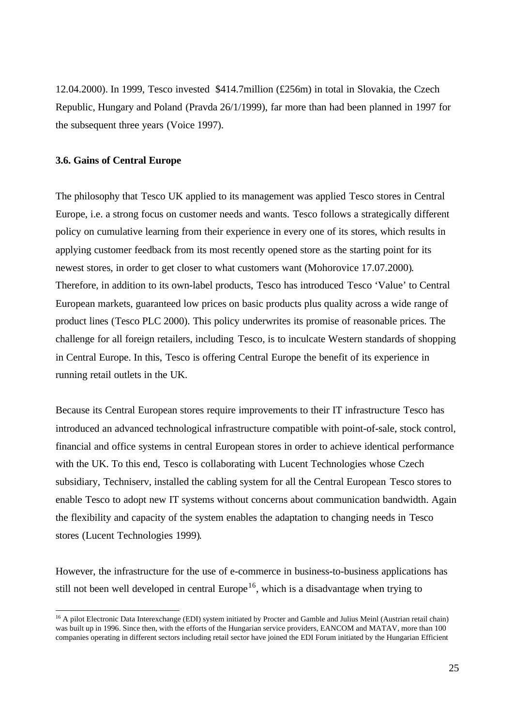12.04.2000). In 1999, Tesco invested \$414.7million (£256m) in total in Slovakia, the Czech Republic, Hungary and Poland (Pravda 26/1/1999), far more than had been planned in 1997 for the subsequent three years (Voice 1997).

## **3.6. Gains of Central Europe**

l

The philosophy that Tesco UK applied to its management was applied Tesco stores in Central Europe, i.e. a strong focus on customer needs and wants. Tesco follows a strategically different policy on cumulative learning from their experience in every one of its stores, which results in applying customer feedback from its most recently opened store as the starting point for its newest stores, in order to get closer to what customers want (Mohorovice 17.07.2000). Therefore, in addition to its own-label products, Tesco has introduced Tesco 'Value' to Central European markets, guaranteed low prices on basic products plus quality across a wide range of product lines (Tesco PLC 2000). This policy underwrites its promise of reasonable prices. The challenge for all foreign retailers, including Tesco, is to inculcate Western standards of shopping in Central Europe. In this, Tesco is offering Central Europe the benefit of its experience in running retail outlets in the UK.

Because its Central European stores require improvements to their IT infrastructure Tesco has introduced an advanced technological infrastructure compatible with point-of-sale, stock control, financial and office systems in central European stores in order to achieve identical performance with the UK. To this end, Tesco is collaborating with Lucent Technologies whose Czech subsidiary, Techniserv, installed the cabling system for all the Central European Tesco stores to enable Tesco to adopt new IT systems without concerns about communication bandwidth. Again the flexibility and capacity of the system enables the adaptation to changing needs in Tesco stores (Lucent Technologies 1999).

However, the infrastructure for the use of e-commerce in business-to-business applications has still not been well developed in central Europe<sup>16</sup>, which is a disadvantage when trying to

<sup>&</sup>lt;sup>16</sup> A pilot Electronic Data Interexchange (EDI) system initiated by Procter and Gamble and Julius Meinl (Austrian retail chain) was built up in 1996. Since then, with the efforts of the Hungarian service providers, EANCOM and MATAV, more than 100 companies operating in different sectors including retail sector have joined the EDI Forum initiated by the Hungarian Efficient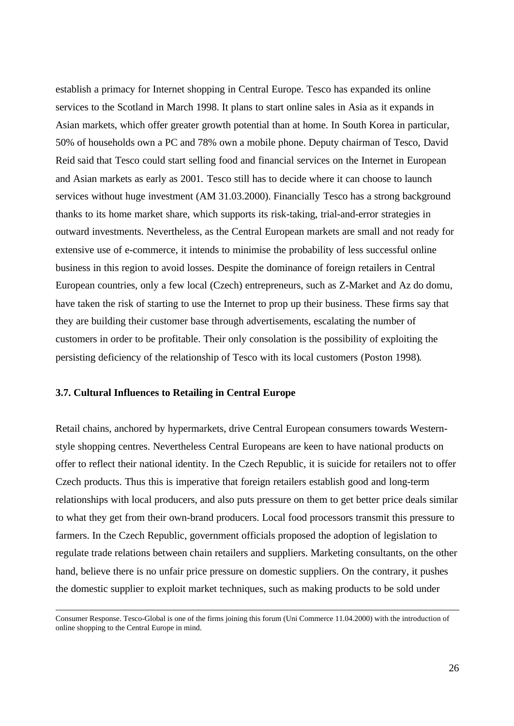establish a primacy for Internet shopping in Central Europe. Tesco has expanded its online services to the Scotland in March 1998. It plans to start online sales in Asia as it expands in Asian markets, which offer greater growth potential than at home. In South Korea in particular, 50% of households own a PC and 78% own a mobile phone. Deputy chairman of Tesco, David Reid said that Tesco could start selling food and financial services on the Internet in European and Asian markets as early as 2001. Tesco still has to decide where it can choose to launch services without huge investment (AM 31.03.2000). Financially Tesco has a strong background thanks to its home market share, which supports its risk-taking, trial-and-error strategies in outward investments. Nevertheless, as the Central European markets are small and not ready for extensive use of e-commerce, it intends to minimise the probability of less successful online business in this region to avoid losses. Despite the dominance of foreign retailers in Central European countries, only a few local (Czech) entrepreneurs, such as Z-Market and Az do domu, have taken the risk of starting to use the Internet to prop up their business. These firms say that they are building their customer base through advertisements, escalating the number of customers in order to be profitable. Their only consolation is the possibility of exploiting the persisting deficiency of the relationship of Tesco with its local customers (Poston 1998).

## **3.7. Cultural Influences to Retailing in Central Europe**

l

Retail chains, anchored by hypermarkets, drive Central European consumers towards Westernstyle shopping centres. Nevertheless Central Europeans are keen to have national products on offer to reflect their national identity. In the Czech Republic, it is suicide for retailers not to offer Czech products. Thus this is imperative that foreign retailers establish good and long-term relationships with local producers, and also puts pressure on them to get better price deals similar to what they get from their own-brand producers. Local food processors transmit this pressure to farmers. In the Czech Republic, government officials proposed the adoption of legislation to regulate trade relations between chain retailers and suppliers. Marketing consultants, on the other hand, believe there is no unfair price pressure on domestic suppliers. On the contrary, it pushes the domestic supplier to exploit market techniques, such as making products to be sold under

Consumer Response. Tesco-Global is one of the firms joining this forum (Uni Commerce 11.04.2000) with the introduction of online shopping to the Central Europe in mind.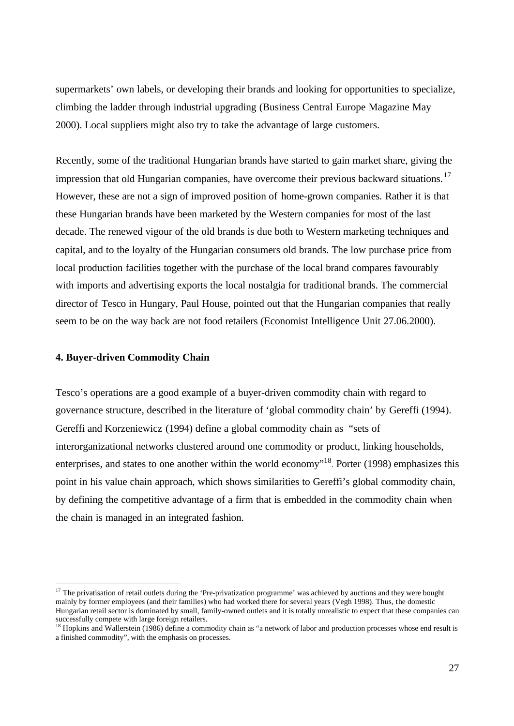supermarkets' own labels, or developing their brands and looking for opportunities to specialize, climbing the ladder through industrial upgrading (Business Central Europe Magazine May 2000). Local suppliers might also try to take the advantage of large customers.

Recently, some of the traditional Hungarian brands have started to gain market share, giving the impression that old Hungarian companies, have overcome their previous backward situations.<sup>17</sup> However, these are not a sign of improved position of home-grown companies. Rather it is that these Hungarian brands have been marketed by the Western companies for most of the last decade. The renewed vigour of the old brands is due both to Western marketing techniques and capital, and to the loyalty of the Hungarian consumers old brands. The low purchase price from local production facilities together with the purchase of the local brand compares favourably with imports and advertising exports the local nostalgia for traditional brands. The commercial director of Tesco in Hungary, Paul House, pointed out that the Hungarian companies that really seem to be on the way back are not food retailers (Economist Intelligence Unit 27.06.2000).

# **4. Buyer-driven Commodity Chain**

l

Tesco's operations are a good example of a buyer-driven commodity chain with regard to governance structure, described in the literature of 'global commodity chain' by Gereffi (1994). Gereffi and Korzeniewicz (1994) define a global commodity chain as "sets of interorganizational networks clustered around one commodity or product, linking households, enterprises, and states to one another within the world economy"<sup>18</sup>. Porter (1998) emphasizes this point in his value chain approach, which shows similarities to Gereffi's global commodity chain, by defining the competitive advantage of a firm that is embedded in the commodity chain when the chain is managed in an integrated fashion.

 $17$  The privatisation of retail outlets during the 'Pre-privatization programme' was achieved by auctions and they were bought mainly by former employees (and their families) who had worked there for several years (Vegh 1998). Thus, the domestic Hungarian retail sector is dominated by small, family-owned outlets and it is totally unrealistic to expect that these companies can successfully compete with large foreign retailers.

<sup>&</sup>lt;sup>18</sup> Hopkins and Wallerstein (1986) define a commodity chain as "a network of labor and production processes whose end result is a finished commodity", with the emphasis on processes.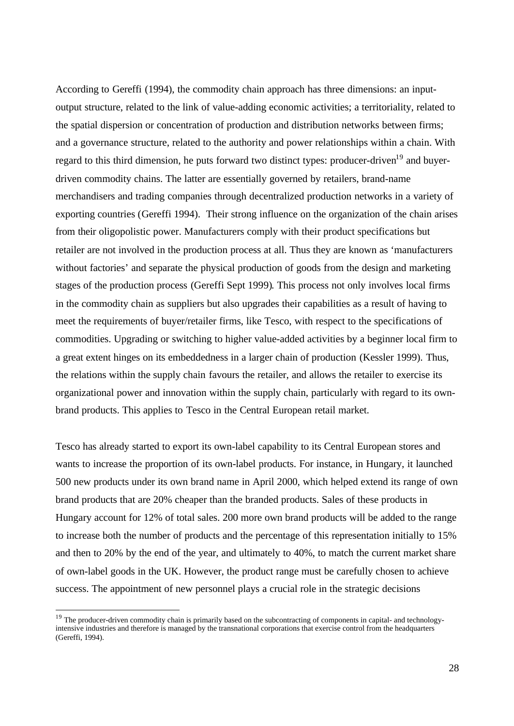According to Gereffi (1994), the commodity chain approach has three dimensions: an inputoutput structure, related to the link of value-adding economic activities; a territoriality, related to the spatial dispersion or concentration of production and distribution networks between firms; and a governance structure, related to the authority and power relationships within a chain. With regard to this third dimension, he puts forward two distinct types: producer-driven<sup>19</sup> and buyerdriven commodity chains. The latter are essentially governed by retailers, brand-name merchandisers and trading companies through decentralized production networks in a variety of exporting countries (Gereffi 1994). Their strong influence on the organization of the chain arises from their oligopolistic power. Manufacturers comply with their product specifications but retailer are not involved in the production process at all. Thus they are known as 'manufacturers without factories' and separate the physical production of goods from the design and marketing stages of the production process (Gereffi Sept 1999). This process not only involves local firms in the commodity chain as suppliers but also upgrades their capabilities as a result of having to meet the requirements of buyer/retailer firms, like Tesco, with respect to the specifications of commodities. Upgrading or switching to higher value-added activities by a beginner local firm to a great extent hinges on its embeddedness in a larger chain of production (Kessler 1999). Thus, the relations within the supply chain favours the retailer, and allows the retailer to exercise its organizational power and innovation within the supply chain, particularly with regard to its ownbrand products. This applies to Tesco in the Central European retail market.

Tesco has already started to export its own-label capability to its Central European stores and wants to increase the proportion of its own-label products. For instance, in Hungary, it launched 500 new products under its own brand name in April 2000, which helped extend its range of own brand products that are 20% cheaper than the branded products. Sales of these products in Hungary account for 12% of total sales. 200 more own brand products will be added to the range to increase both the number of products and the percentage of this representation initially to 15% and then to 20% by the end of the year, and ultimately to 40%, to match the current market share of own-label goods in the UK. However, the product range must be carefully chosen to achieve success. The appointment of new personnel plays a crucial role in the strategic decisions

l

<sup>&</sup>lt;sup>19</sup> The producer-driven commodity chain is primarily based on the subcontracting of components in capital- and technologyintensive industries and therefore is managed by the transnational corporations that exercise control from the headquarters (Gereffi, 1994).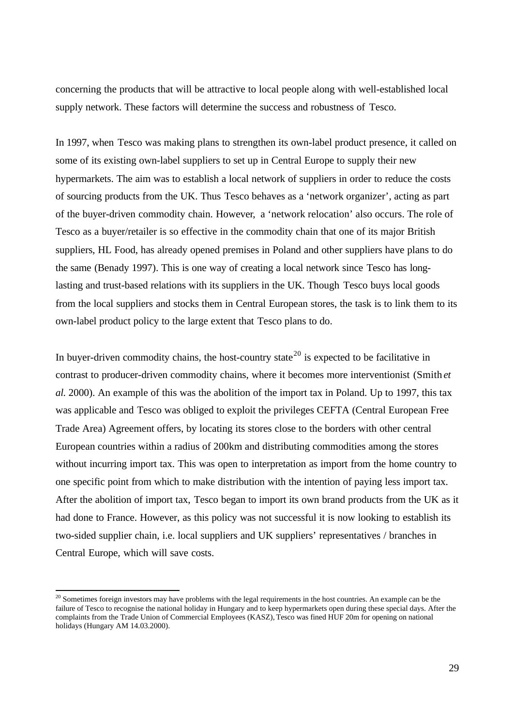concerning the products that will be attractive to local people along with well-established local supply network. These factors will determine the success and robustness of Tesco.

In 1997, when Tesco was making plans to strengthen its own-label product presence, it called on some of its existing own-label suppliers to set up in Central Europe to supply their new hypermarkets. The aim was to establish a local network of suppliers in order to reduce the costs of sourcing products from the UK. Thus Tesco behaves as a 'network organizer', acting as part of the buyer-driven commodity chain. However, a 'network relocation' also occurs. The role of Tesco as a buyer/retailer is so effective in the commodity chain that one of its major British suppliers, HL Food, has already opened premises in Poland and other suppliers have plans to do the same (Benady 1997). This is one way of creating a local network since Tesco has longlasting and trust-based relations with its suppliers in the UK. Though Tesco buys local goods from the local suppliers and stocks them in Central European stores, the task is to link them to its own-label product policy to the large extent that Tesco plans to do.

In buyer-driven commodity chains, the host-country state<sup>20</sup> is expected to be facilitative in contrast to producer-driven commodity chains, where it becomes more interventionist (Smith *et al.* 2000). An example of this was the abolition of the import tax in Poland. Up to 1997, this tax was applicable and Tesco was obliged to exploit the privileges CEFTA (Central European Free Trade Area) Agreement offers, by locating its stores close to the borders with other central European countries within a radius of 200km and distributing commodities among the stores without incurring import tax. This was open to interpretation as import from the home country to one specific point from which to make distribution with the intention of paying less import tax. After the abolition of import tax, Tesco began to import its own brand products from the UK as it had done to France. However, as this policy was not successful it is now looking to establish its two-sided supplier chain, i.e. local suppliers and UK suppliers' representatives / branches in Central Europe, which will save costs.

l

 $20$  Sometimes foreign investors may have problems with the legal requirements in the host countries. An example can be the failure of Tesco to recognise the national holiday in Hungary and to keep hypermarkets open during these special days. After the complaints from the Trade Union of Commercial Employees (KASZ), Tesco was fined HUF 20m for opening on national holidays (Hungary AM 14.03.2000).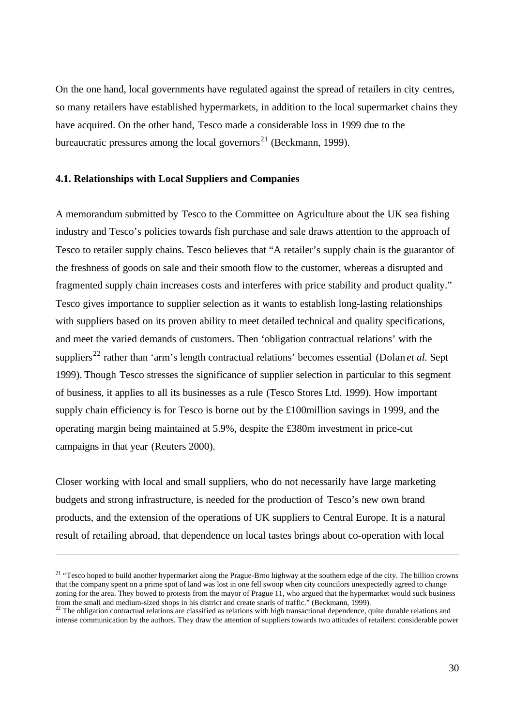On the one hand, local governments have regulated against the spread of retailers in city centres, so many retailers have established hypermarkets, in addition to the local supermarket chains they have acquired. On the other hand, Tesco made a considerable loss in 1999 due to the bureaucratic pressures among the local governors<sup>21</sup> (Beckmann, 1999).

#### **4.1. Relationships with Local Suppliers and Companies**

l

A memorandum submitted by Tesco to the Committee on Agriculture about the UK sea fishing industry and Tesco's policies towards fish purchase and sale draws attention to the approach of Tesco to retailer supply chains. Tesco believes that "A retailer's supply chain is the guarantor of the freshness of goods on sale and their smooth flow to the customer, whereas a disrupted and fragmented supply chain increases costs and interferes with price stability and product quality." Tesco gives importance to supplier selection as it wants to establish long-lasting relationships with suppliers based on its proven ability to meet detailed technical and quality specifications, and meet the varied demands of customers. Then 'obligation contractual relations' with the suppliers<sup>22</sup> rather than 'arm's length contractual relations' becomes essential (Dolan *et al.* Sept 1999). Though Tesco stresses the significance of supplier selection in particular to this segment of business, it applies to all its businesses as a rule (Tesco Stores Ltd. 1999). How important supply chain efficiency is for Tesco is borne out by the £100million savings in 1999, and the operating margin being maintained at 5.9%, despite the £380m investment in price-cut campaigns in that year (Reuters 2000).

Closer working with local and small suppliers, who do not necessarily have large marketing budgets and strong infrastructure, is needed for the production of Tesco's new own brand products, and the extension of the operations of UK suppliers to Central Europe. It is a natural result of retailing abroad, that dependence on local tastes brings about co-operation with local

<sup>&</sup>lt;sup>21</sup> "Tesco hoped to build another hypermarket along the Prague-Brno highway at the southern edge of the city. The billion crowns that the company spent on a prime spot of land was lost in one fell swoop when city councilors unexpectedly agreed to change zoning for the area. They bowed to protests from the mayor of Prague 11, who argued that the hypermarket would suck business from the small and medium-sized shops in his district and create snarls of traffic." (Beckmann, 1999).

 $^{22}$  The obligation contractual relations are classified as relations with high transactional dependence, quite durable relations and intense communication by the authors. They draw the attention of suppliers towards two attitudes of retailers: considerable power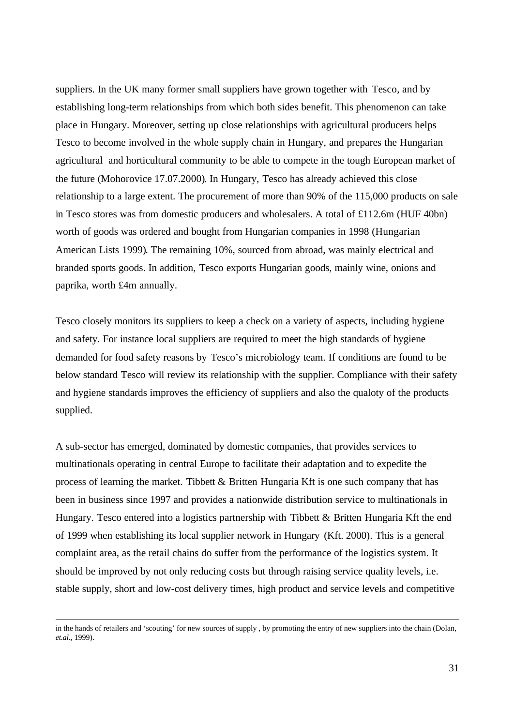suppliers. In the UK many former small suppliers have grown together with Tesco, and by establishing long-term relationships from which both sides benefit. This phenomenon can take place in Hungary. Moreover, setting up close relationships with agricultural producers helps Tesco to become involved in the whole supply chain in Hungary, and prepares the Hungarian agricultural and horticultural community to be able to compete in the tough European market of the future (Mohorovice 17.07.2000). In Hungary, Tesco has already achieved this close relationship to a large extent. The procurement of more than 90% of the 115,000 products on sale in Tesco stores was from domestic producers and wholesalers. A total of £112.6m (HUF 40bn) worth of goods was ordered and bought from Hungarian companies in 1998 (Hungarian American Lists 1999). The remaining 10%, sourced from abroad, was mainly electrical and branded sports goods. In addition, Tesco exports Hungarian goods, mainly wine, onions and paprika, worth £4m annually.

Tesco closely monitors its suppliers to keep a check on a variety of aspects, including hygiene and safety. For instance local suppliers are required to meet the high standards of hygiene demanded for food safety reasons by Tesco's microbiology team. If conditions are found to be below standard Tesco will review its relationship with the supplier. Compliance with their safety and hygiene standards improves the efficiency of suppliers and also the qualoty of the products supplied.

A sub-sector has emerged, dominated by domestic companies, that provides services to multinationals operating in central Europe to facilitate their adaptation and to expedite the process of learning the market. Tibbett & Britten Hungaria Kft is one such company that has been in business since 1997 and provides a nationwide distribution service to multinationals in Hungary. Tesco entered into a logistics partnership with Tibbett & Britten Hungaria Kft the end of 1999 when establishing its local supplier network in Hungary (Kft. 2000). This is a general complaint area, as the retail chains do suffer from the performance of the logistics system. It should be improved by not only reducing costs but through raising service quality levels, i.e. stable supply, short and low-cost delivery times, high product and service levels and competitive

l

in the hands of retailers and 'scouting' for new sources of supply , by promoting the entry of new suppliers into the chain (Dolan, *et.al.*, 1999).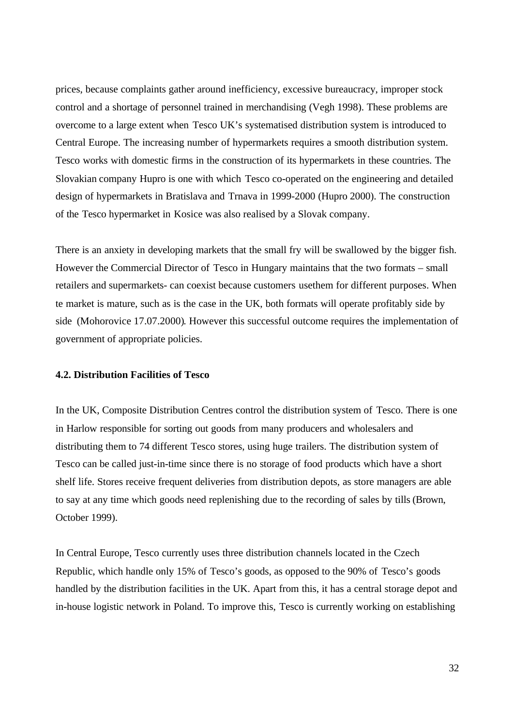prices, because complaints gather around inefficiency, excessive bureaucracy, improper stock control and a shortage of personnel trained in merchandising (Vegh 1998). These problems are overcome to a large extent when Tesco UK's systematised distribution system is introduced to Central Europe. The increasing number of hypermarkets requires a smooth distribution system. Tesco works with domestic firms in the construction of its hypermarkets in these countries. The Slovakian company Hupro is one with which Tesco co-operated on the engineering and detailed design of hypermarkets in Bratislava and Trnava in 1999-2000 (Hupro 2000). The construction of the Tesco hypermarket in Kosice was also realised by a Slovak company.

There is an anxiety in developing markets that the small fry will be swallowed by the bigger fish. However the Commercial Director of Tesco in Hungary maintains that the two formats – small retailers and supermarkets- can coexist because customers usethem for different purposes. When te market is mature, such as is the case in the UK, both formats will operate profitably side by side (Mohorovice 17.07.2000). However this successful outcome requires the implementation of government of appropriate policies.

## **4.2. Distribution Facilities of Tesco**

In the UK, Composite Distribution Centres control the distribution system of Tesco. There is one in Harlow responsible for sorting out goods from many producers and wholesalers and distributing them to 74 different Tesco stores, using huge trailers. The distribution system of Tesco can be called just-in-time since there is no storage of food products which have a short shelf life. Stores receive frequent deliveries from distribution depots, as store managers are able to say at any time which goods need replenishing due to the recording of sales by tills (Brown, October 1999).

In Central Europe, Tesco currently uses three distribution channels located in the Czech Republic, which handle only 15% of Tesco's goods, as opposed to the 90% of Tesco's goods handled by the distribution facilities in the UK. Apart from this, it has a central storage depot and in-house logistic network in Poland. To improve this, Tesco is currently working on establishing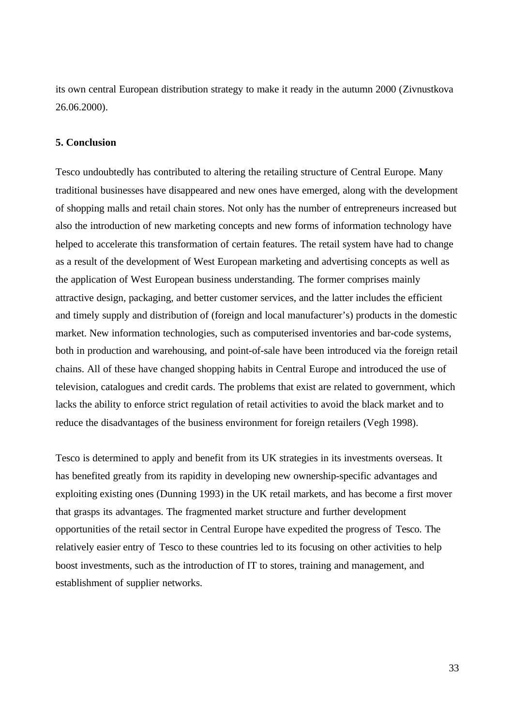its own central European distribution strategy to make it ready in the autumn 2000 (Zivnustkova 26.06.2000).

## **5. Conclusion**

Tesco undoubtedly has contributed to altering the retailing structure of Central Europe. Many traditional businesses have disappeared and new ones have emerged, along with the development of shopping malls and retail chain stores. Not only has the number of entrepreneurs increased but also the introduction of new marketing concepts and new forms of information technology have helped to accelerate this transformation of certain features. The retail system have had to change as a result of the development of West European marketing and advertising concepts as well as the application of West European business understanding. The former comprises mainly attractive design, packaging, and better customer services, and the latter includes the efficient and timely supply and distribution of (foreign and local manufacturer's) products in the domestic market. New information technologies, such as computerised inventories and bar-code systems, both in production and warehousing, and point-of-sale have been introduced via the foreign retail chains. All of these have changed shopping habits in Central Europe and introduced the use of television, catalogues and credit cards. The problems that exist are related to government, which lacks the ability to enforce strict regulation of retail activities to avoid the black market and to reduce the disadvantages of the business environment for foreign retailers (Vegh 1998).

Tesco is determined to apply and benefit from its UK strategies in its investments overseas. It has benefited greatly from its rapidity in developing new ownership-specific advantages and exploiting existing ones (Dunning 1993) in the UK retail markets, and has become a first mover that grasps its advantages. The fragmented market structure and further development opportunities of the retail sector in Central Europe have expedited the progress of Tesco. The relatively easier entry of Tesco to these countries led to its focusing on other activities to help boost investments, such as the introduction of IT to stores, training and management, and establishment of supplier networks.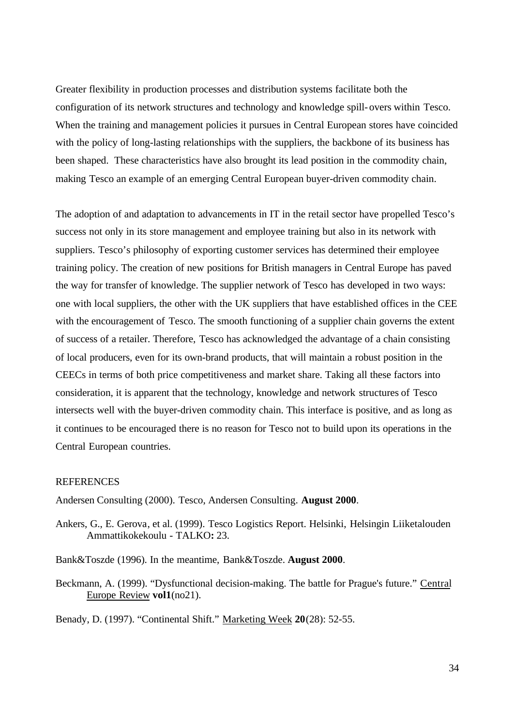Greater flexibility in production processes and distribution systems facilitate both the configuration of its network structures and technology and knowledge spill-overs within Tesco. When the training and management policies it pursues in Central European stores have coincided with the policy of long-lasting relationships with the suppliers, the backbone of its business has been shaped. These characteristics have also brought its lead position in the commodity chain, making Tesco an example of an emerging Central European buyer-driven commodity chain.

The adoption of and adaptation to advancements in IT in the retail sector have propelled Tesco's success not only in its store management and employee training but also in its network with suppliers. Tesco's philosophy of exporting customer services has determined their employee training policy. The creation of new positions for British managers in Central Europe has paved the way for transfer of knowledge. The supplier network of Tesco has developed in two ways: one with local suppliers, the other with the UK suppliers that have established offices in the CEE with the encouragement of Tesco. The smooth functioning of a supplier chain governs the extent of success of a retailer. Therefore, Tesco has acknowledged the advantage of a chain consisting of local producers, even for its own-brand products, that will maintain a robust position in the CEECs in terms of both price competitiveness and market share. Taking all these factors into consideration, it is apparent that the technology, knowledge and network structures of Tesco intersects well with the buyer-driven commodity chain. This interface is positive, and as long as it continues to be encouraged there is no reason for Tesco not to build upon its operations in the Central European countries.

#### **REFERENCES**

Andersen Consulting (2000). Tesco, Andersen Consulting. **August 2000**.

- Ankers, G., E. Gerova, et al. (1999). Tesco Logistics Report. Helsinki, Helsingin Liiketalouden Ammattikokekoulu - TALKO**:** 23.
- Bank&Toszde (1996). In the meantime, Bank&Toszde. **August 2000**.
- Beckmann, A. (1999). "Dysfunctional decision-making. The battle for Prague's future." Central Europe Review **vol1**(no21).

Benady, D. (1997). "Continental Shift." Marketing Week **20**(28): 52-55.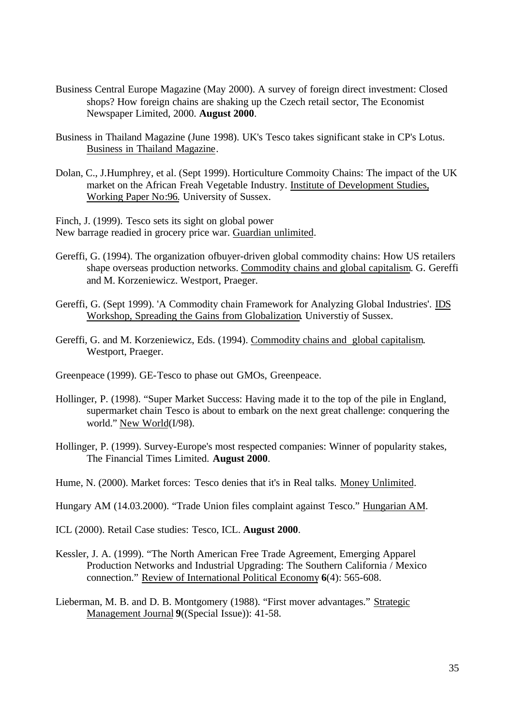- Business Central Europe Magazine (May 2000). A survey of foreign direct investment: Closed shops? How foreign chains are shaking up the Czech retail sector, The Economist Newspaper Limited, 2000. **August 2000**.
- Business in Thailand Magazine (June 1998). UK's Tesco takes significant stake in CP's Lotus. Business in Thailand Magazine.
- Dolan, C., J.Humphrey, et al. (Sept 1999). Horticulture Commoity Chains: The impact of the UK market on the African Freah Vegetable Industry. Institute of Development Studies, Working Paper No:96. University of Sussex.

Finch, J. (1999). Tesco sets its sight on global power New barrage readied in grocery price war. Guardian unlimited.

- Gereffi, G. (1994). The organization ofbuyer-driven global commodity chains: How US retailers shape overseas production networks. Commodity chains and global capitalism. G. Gereffi and M. Korzeniewicz. Westport, Praeger.
- Gereffi, G. (Sept 1999). 'A Commodity chain Framework for Analyzing Global Industries'. IDS Workshop, Spreading the Gains from Globalization. Universtiy of Sussex.
- Gereffi, G. and M. Korzeniewicz, Eds. (1994). Commodity chains and global capitalism. Westport, Praeger.
- Greenpeace (1999). GE-Tesco to phase out GMOs, Greenpeace.
- Hollinger, P. (1998). "Super Market Success: Having made it to the top of the pile in England, supermarket chain Tesco is about to embark on the next great challenge: conquering the world." New World(I/98).
- Hollinger, P. (1999). Survey-Europe's most respected companies: Winner of popularity stakes, The Financial Times Limited. **August 2000**.
- Hume, N. (2000). Market forces: Tesco denies that it's in Real talks. Money Unlimited.
- Hungary AM (14.03.2000). "Trade Union files complaint against Tesco." Hungarian AM.

ICL (2000). Retail Case studies: Tesco, ICL. **August 2000**.

- Kessler, J. A. (1999). "The North American Free Trade Agreement, Emerging Apparel Production Networks and Industrial Upgrading: The Southern California / Mexico connection." Review of International Political Economy **6**(4): 565-608.
- Lieberman, M. B. and D. B. Montgomery (1988). "First mover advantages." Strategic Management Journal **9**((Special Issue)): 41-58.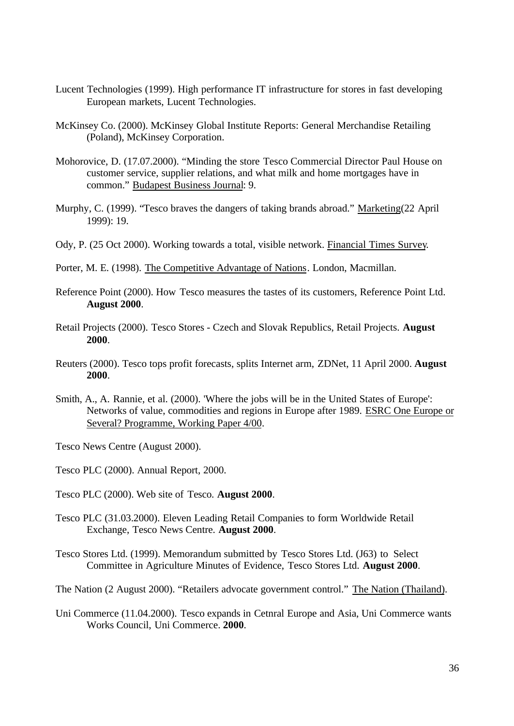- Lucent Technologies (1999). High performance IT infrastructure for stores in fast developing European markets, Lucent Technologies.
- McKinsey Co. (2000). McKinsey Global Institute Reports: General Merchandise Retailing (Poland), McKinsey Corporation.
- Mohorovice, D. (17.07.2000). "Minding the store Tesco Commercial Director Paul House on customer service, supplier relations, and what milk and home mortgages have in common." Budapest Business Journal: 9.
- Murphy, C. (1999). "Tesco braves the dangers of taking brands abroad." Marketing(22 April 1999): 19.
- Ody, P. (25 Oct 2000). Working towards a total, visible network. Financial Times Survey.
- Porter, M. E. (1998). The Competitive Advantage of Nations. London, Macmillan.
- Reference Point (2000). How Tesco measures the tastes of its customers, Reference Point Ltd. **August 2000**.
- Retail Projects (2000). Tesco Stores Czech and Slovak Republics, Retail Projects. **August 2000**.
- Reuters (2000). Tesco tops profit forecasts, splits Internet arm, ZDNet, 11 April 2000. **August 2000**.
- Smith, A., A. Rannie, et al. (2000). 'Where the jobs will be in the United States of Europe': Networks of value, commodities and regions in Europe after 1989. ESRC One Europe or Several? Programme, Working Paper 4/00.
- Tesco News Centre (August 2000).
- Tesco PLC (2000). Annual Report, 2000.
- Tesco PLC (2000). Web site of Tesco. **August 2000**.
- Tesco PLC (31.03.2000). Eleven Leading Retail Companies to form Worldwide Retail Exchange, Tesco News Centre. **August 2000**.
- Tesco Stores Ltd. (1999). Memorandum submitted by Tesco Stores Ltd. (J63) to Select Committee in Agriculture Minutes of Evidence, Tesco Stores Ltd. **August 2000**.
- The Nation (2 August 2000). "Retailers advocate government control." The Nation (Thailand).
- Uni Commerce (11.04.2000). Tesco expands in Cetnral Europe and Asia, Uni Commerce wants Works Council, Uni Commerce. **2000**.